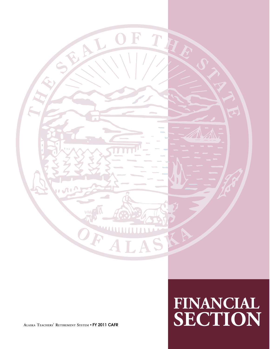

# **FINANCIAL ALASKA TEACHERS' RETIREMENT SYSTEM** • **FY 2011 CAFR SECTION**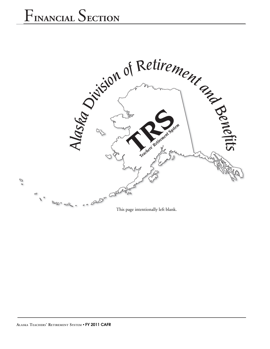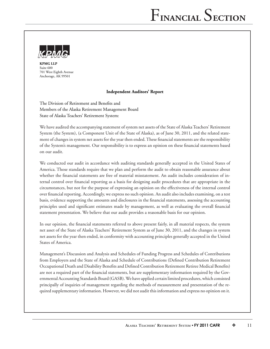

**KPMG LLP** Suite 600 701 West Eighth Avenue Anchorage, AK 99501

#### **Independent Auditors' Report**

The Division of Retirement and Benefits and Members of the Alaska Retirement Management Board State of Alaska Teachers' Retirement System:

We have audited the accompanying statement of system net assets of the State of Alaska Teachers' Retirement System (the System), (a Component Unit of the State of Alaska), as of June 30, 2011, and the related statement of changes in system net assets for the year then ended. These financial statements are the responsibility of the System's management. Our responsibility is to express an opinion on these financial statements based on our audit.

We conducted our audit in accordance with auditing standards generally accepted in the United States of America. Those standards require that we plan and perform the audit to obtain reasonable assurance about whether the financial statements are free of material misstatement. An audit includes consideration of internal control over financial reporting as a basis for designing audit procedures that are appropriate in the circumstances, but not for the purpose of expressing an opinion on the effectiveness of the internal control over financial reporting. Accordingly, we express no such opinion. An audit also includes examining, on a test basis, evidence supporting the amounts and disclosures in the financial statements, assessing the accounting principles used and significant estimates made by management, as well as evaluating the overall financial statement presentation. We believe that our audit provides a reasonable basis for our opinion.

In our opinion, the financial statements referred to above present fairly, in all material respects, the system net asset of the State of Alaska Teachers' Retirement System as of June 30, 2011, and the changes in system net assets for the year then ended, in conformity with accounting principles generally accepted in the United States of America.

Management's Discussion and Analysis and Schedules of Funding Progress and Schedules of Contributions from Employers and the State of Alaska and Schedule of Contributions (Defined Contribution Retirement Occupational Death and Disability Benefits and Defined Contribution Retirement Retiree Medical Benefits) are not a required part of the financial statements, but are supplementary information required by the Governmental Accounting Standards Board (GASB). We have applied certain limited procedures, which consisted principally of inquiries of management regarding the methods of measurement and presentation of the required supplementary information. However, we did not audit this information and express no opinion on it.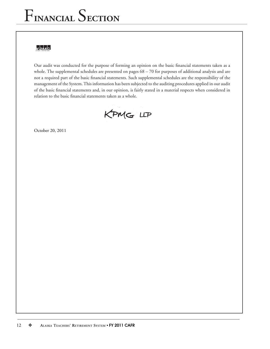## KENAG

Our audit was conducted for the purpose of forming an opinion on the basic financial statements taken as a whole. The supplemental schedules are presented on pages 68 – 70 for purposes of additional analysis and are not a required part of the basic financial statements. Such supplemental schedules are the responsibility of the management of the System. This information has been subjected to the auditing procedures applied in our audit of the basic financial statements and, in our opinion, is fairly stated in a material respects when considered in relation to the basic financial statements taken as a whole.

KPMG LLP

October 20, 2011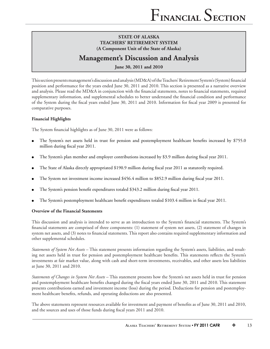## **Management's Discussion and Analysis**

**June 30, 2011 and 2010**

This section presents management's discussion and analysis (MD&A) of the Teachers' Retirement System's (System) financial position and performance for the years ended June 30, 2011 and 2010. This section is presented as a narrative overview and analysis. Please read the MD&A in conjunction with the financial statements, notes to financial statements, required supplementary information, and supplemental schedules to better understand the financial condition and performance of the System during the fiscal years ended June 30, 2011 and 2010. Information for fiscal year 2009 is presented for comparative purposes.

## **Financial Highlights**

The System financial highlights as of June 30, 2011 were as follows:

- The System's net assets held in trust for pension and postemployment healthcare benefits increased by \$755.0 million during fiscal year 2011.
- The System's plan member and employer contributions increased by \$3.9 million during fiscal year 2011.
- The State of Alaska directly appropriated \$190.9 million during fiscal year 2011 as statutorily required.
- The System net investment income increased \$456.4 million to \$852.9 million during fiscal year 2011.
- The System's pension benefit expenditures totaled \$343.2 million during fiscal year 2011.
- The System's postemployment healthcare benefit expenditures totaled \$103.4 million in fiscal year 2011.

### **Overview of the Financial Statements**

This discussion and analysis is intended to serve as an introduction to the System's financial statements. The System's financial statements are comprised of three components: (1) statement of system net assets, (2) statement of changes in system net assets, and (3) notes to financial statements. This report also contains required supplementary information and other supplemental schedules.

*Statements of System Net Assets* – This statement presents information regarding the System's assets, liabilities, and resulting net assets held in trust for pension and postemployment healthcare benefits. This statements reflects the System's investments at fair market value, along with cash and short-term investments, receivables, and other assets less liabilities at June 30, 2011 and 2010.

*Statements of Changes in System Net Assets* – This statement presents how the System's net assets held in trust for pension and postemployment healthcare benefits changed during the fiscal years ended June 30, 2011 and 2010. This statement presents contributions earned and investment income (loss) during the period. Deductions for pension and postemployment healthcare benefits, refunds, and operating deductions are also presented.

The above statements represent resources available for investment and payment of benefits as of June 30, 2011 and 2010, and the sources and uses of those funds during fiscal years 2011 and 2010.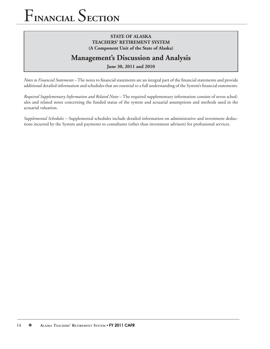## **STATE OF ALASKA TEACHERS' RETIREMENT SYSTEM (A Component Unit of the State of Alaska)**

## **Management's Discussion and Analysis**

**June 30, 2011 and 2010**

*Notes to Financial Statements* – The notes to financial statements are an integral part of the financial statements and provide additional detailed information and schedules that are essential to a full understanding of the System's financial statements.

*Required Supplementary Information and Related Notes* – The required supplementary information consists of seven schedules and related notes concerning the funded status of the system and actuarial assumptions and methods used in the actuarial valuation.

*Supplemental Schedules* – Supplemental schedules include detailed information on administrative and investment deductions incurred by the System and payments to consultants (other than investment advisors) for professional services.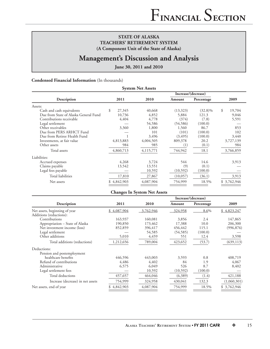## **Management's Discussion and Analysis**

**June 30, 2011 and 2010**

#### **Condensed Financial Information** (In thousands)

| <b>System Net Assets</b><br>Increase/(decrease) |              |                                     |           |            |              |  |
|-------------------------------------------------|--------------|-------------------------------------|-----------|------------|--------------|--|
| Description                                     | 2011         | 2010                                | Amount    | Percentage | 2009         |  |
| Assets:                                         |              |                                     |           |            |              |  |
| Cash and cash equivalents                       | \$<br>27,345 | 40,668                              | (13,323)  | $(32.8)\%$ | \$<br>19,704 |  |
| Due from State of Alaska General Fund           | 10,736       | 4,852                               | 5,884     | 121.3      | 9,046        |  |
| Contributions receivable                        | 4,404        | 4,778                               | (374)     | (7.8)      | 5,591        |  |
| Legal settlement                                |              | 54,586                              | (54, 586) | (100.0)    |              |  |
| Other receivables                               | 3,360        | 1,800                               | 1,560     | 86.7       | 853          |  |
| Due from PERS ARHCT Fund                        |              | 101                                 | (101)     | (100.0)    | 102          |  |
| Due from Retiree Health Fund                    |              | 3,496                               | (3, 495)  | (100.0)    | 3,440        |  |
| Investments, at fair value                      | 4,813,883    | 4,004,505                           | 809,378   | 20.2       | 3,727,139    |  |
| Other assets                                    | 984          | 985                                 | (1)       | (0.1)      | 984          |  |
| Total assets                                    | 4,860,713    | 4,115,771                           | 744,942   | 18.1       | 3,766,859    |  |
| Liabilities:                                    |              |                                     |           |            |              |  |
| Accrued expenses                                | 4,268        | 3,724                               | 544       | 14.6       | 3,913        |  |
| Claims payable                                  | 13,542       | 13,551                              | (9)       | (0.1)      |              |  |
| Legal fees payable                              |              | 10,592                              | (10, 592) | (100.0)    |              |  |
| <b>Total liabilities</b>                        | 17,810       | 27,867                              | (10,057)  | (36.1)     | 3,913        |  |
| Net assets                                      | \$4,842,903  | 4,087,904                           | 754,999   | 18.5%      | \$3,762,946  |  |
|                                                 |              | <b>Changes In System Net Assets</b> |           |            |              |  |

|                                   |             |           | Increase/(decrease) |            |             |
|-----------------------------------|-------------|-----------|---------------------|------------|-------------|
| Description                       | 2011        | 2010      | Amount              | Percentage | 2009        |
| Net assets, beginning of year     | \$4,087,904 | 3,762,946 | 324,958             | 8.6%       | \$4,823,247 |
| Additions (reductions):           |             |           |                     |            |             |
| Contributions                     | 163,937     | 160,081   | 3,856               | 2.4        | 147,865     |
| Appropriation - State of Alaska   | 190,850     | 173,462   | 17,388              | 10.0       | 206,300     |
| Net investment income (loss)      | 852,859     | 396,417   | 456,442             | 115.1      | (996, 876)  |
| Legal settlement                  |             | 54,585    | (54, 585)           | (100.0)    |             |
| Other additions                   | 5,010       | 4,459     | 551                 | 12.4       | 3,598       |
| Total additions (reductions)      | 1,212,656   | 789,004   | 423,652             | (53.7)     | (639, 113)  |
| Deductions:                       |             |           |                     |            |             |
| Pension and postemployment        |             |           |                     |            |             |
| healthcare benefits               | 446,596     | 443,003   | 3,593               | 0.8        | 408,719     |
| Refund of contributions           | 4,486       | 4,402     | 84                  | 1.9        | 4,067       |
| Administrative                    | 6,575       | 6,049     | 526                 | 8.7        | 8,402       |
| Legal settlement fees             |             | 10,592    | (10, 592)           | (100.0)    |             |
| Total deductions                  | 457,657     | 464,046   | (6,389)             | (1.4)      | 421,188     |
| Increase (decrease) in net assets | 754,999     | 324,958   | 430,041             | 132.3      | (1,060,301) |
| Net assets, end of year           | 4,842,903   | 4,087,904 | 754,999             | 18.5%      | \$3,762,946 |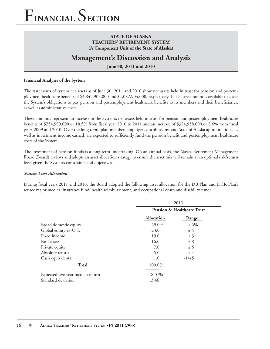## **STATE OF ALASKA TEACHERS' RETIREMENT SYSTEM (A Component Unit of the State of Alaska)**

## **Management's Discussion and Analysis**

**June 30, 2011 and 2010**

### **Financial Analysis of the System**

The statements of system net assets as of June 30, 2011 and 2010 show net assets held in trust for pension and postemployment healthcare benefits of \$4,842,903,000 and \$4,087,904,000, respectively. The entire amount is available to cover the System's obligations to pay pension and postemployment healthcare benefits to its members and their beneficiaries, as well as administrative costs.

These amounts represent an increase in the System's net assets held in trust for pension and postemployment healthcare benefits of \$754,999,000 or 18.5% from fiscal year 2010 to 2011 and an increase of \$324,958,000 or 8.6% from fiscal years 2009 and 2010. Over the long term, plan member, employer contributions, and State of Alaska appropriations, as well as investment income earned, are expected to sufficiently fund the pension benefit and postemployment healthcare costs of the System.

The investment of pension funds is a long-term undertaking. On an annual basis, the Alaska Retirement Management Board (Board) reviews and adopts an asset allocation strategy to ensure the asset mix will remain at an optimal risk/return level given the System's constraints and objectives.

#### *System Asset Allocation*

During fiscal years 2011 and 2010, the Board adopted the following asset allocation for the DB Plan and DCR Plan's retiree major medical insurance fund, health reimbursement, and occupational death and disability fund:

|                                  | 2011<br><b>Pension &amp; Healthcare Trust</b> |         |  |
|----------------------------------|-----------------------------------------------|---------|--|
|                                  |                                               |         |  |
|                                  | Allocation                                    | Range   |  |
| Broad domestic equity            | 29.0%                                         | $± 6\%$ |  |
| Global equity ex-U.S.            | 23.0                                          | ± 4     |  |
| Fixed income                     | 19.0                                          | ± 3     |  |
| Real assets                      | 16.0                                          | ± 8     |  |
| Private equity                   | 7.0                                           | ± 5     |  |
| Absolute return                  | 5.0                                           | ± 4     |  |
| Cash equivalents                 | 1.0                                           | $-1/+5$ |  |
| Total                            | 100.0%                                        |         |  |
| Expected five-year median return | 8.07%                                         |         |  |
| Standard deviation               | 13.46                                         |         |  |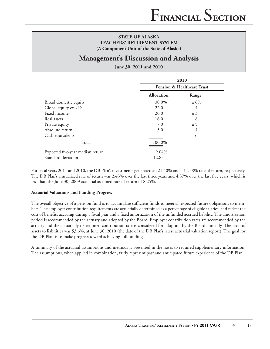## **Management's Discussion and Analysis**

#### **June 30, 2011 and 2010**

|                                  |                   | 2010                                  |
|----------------------------------|-------------------|---------------------------------------|
|                                  |                   | <b>Pension &amp; Healthcare Trust</b> |
|                                  | <b>Allocation</b> | Range                                 |
| Broad domestic equity            | 30.0%             | $± 6\%$                               |
| Global equity ex-U.S.            | 22.0              | ± 4                                   |
| Fixed income                     | 20.0              | ± 3                                   |
| Real assets                      | 16.0              | ± 8                                   |
| Private equity                   | 7.0               | ± 5                                   |
| Absolute return                  | 5.0               | ±4                                    |
| Cash equivalents                 |                   | $+6$                                  |
| Total                            | 100.0%            |                                       |
| Expected five-year median return | 9.04%             |                                       |
| Standard deviation               | 12.85             |                                       |

For fiscal years 2011 and 2010, the DB Plan's investments generated an 21.40% and a 11.58% rate of return, respectively. The DB Plan's annualized rate of return was 2.43% over the last three years and 4.37% over the last five years, which is less than the June 30, 2009 actuarial assumed rate of return of 8.25%.

#### **Actuarial Valuations and Funding Progress**

The overall objective of a pension fund is to accumulate sufficient funds to meet all expected future obligations to members. The employer contribution requirements are actuarially determined as a percentage of eligible salaries, and reflect the cost of benefits accruing during a fiscal year and a fixed amortization of the unfunded accrued liability. The amortization period is recommended by the actuary and adopted by the Board. Employer contribution rates are recommended by the actuary and the actuarially determined contribution rate is considered for adoption by the Board annually. The ratio of assets to liabilities was 53.6%, at June 30, 2010 (the date of the DB Plan's latest actuarial valuation report). The goal for the DB Plan is to make progress toward achieving full funding.

A summary of the actuarial assumptions and methods is presented in the notes to required supplementary information. The assumptions, when applied in combination, fairly represent past and anticipated future experience of the DB Plan.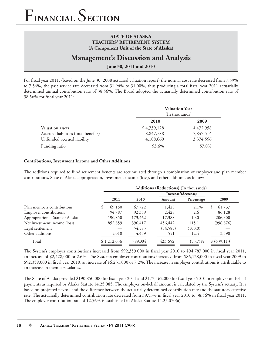## **Management's Discussion and Analysis**

**June 30, 2011 and 2010**

For fiscal year 2011, (based on the June 30, 2008 actuarial valuation report) the normal cost rate decreased from 7.59% to 7.56%, the past service rate decreased from  $31.94\%$  to  $31.00\%$ , thus producing a total fiscal year 2011 actuarially determined annual contribution rate of 38.56%. The Board adopted the actuarially determined contribution rate of 38.56% for fiscal year 2011:

| <b>Valuation Year</b><br>(In thousands) |           |  |  |  |  |
|-----------------------------------------|-----------|--|--|--|--|
| 2010                                    | 2009      |  |  |  |  |
| \$4,739,128                             | 4,472,958 |  |  |  |  |
| 8,847,788                               | 7,847,514 |  |  |  |  |
| 4,108,660                               | 3,374,556 |  |  |  |  |
| 53.6%                                   | 57.0%     |  |  |  |  |
|                                         |           |  |  |  |  |

#### **Contributions, Investment Income and Other Additions**

The additions required to fund retirement benefits are accumulated through a combination of employer and plan member contributions, State of Alaska appropriation, investment income (loss), and other additions as follows:

|                                 | Additions (Reductions) (In thousands) |             |         |                     |            |               |
|---------------------------------|---------------------------------------|-------------|---------|---------------------|------------|---------------|
|                                 |                                       |             |         | Increase/(decrease) |            |               |
|                                 |                                       | 2011        | 2010    | Amount              | Percentage | 2009          |
| Plan members contributions      |                                       | 69,150      | 67,722  | 1,428               | $2.1\%$    | 61,737<br>S   |
| <b>Employer contributions</b>   |                                       | 94,787      | 92,359  | 2.428               | 2.6        | 86,128        |
| Appropriation - State of Alaska |                                       | 190,850     | 173,462 | 17,388              | 10.0       | 206,300       |
| Net investment income (loss)    |                                       | 852,859     | 396,417 | 456,442             | 115.1      | (996, 876)    |
| Legal settlement                |                                       |             | 54,585  | (54, 585)           | (100.0)    |               |
| Other additions                 |                                       | 5,010       | 4,459   | 551                 | 12.4       | 3,598         |
| Total                           |                                       | \$1,212,656 | 789,004 | 423,652             | $(53.7)\%$ | \$ (639, 113) |

The System's employer contributions increased from \$92,359,000 in fiscal year 2010 to \$94,787,000 in fiscal year 2011, an increase of \$2,428,000 or 2.6%. The System's employer contributions increased from \$86,128,000 in fiscal year 2009 to \$92,359,000 in fiscal year 2010, an increase of \$6,231,000 or 7.2%. The increase in employer contributions is attributable to an increase in members' salaries.

The State of Alaska provided \$190,850,000 for fiscal year 2011 and \$173,462,000 for fiscal year 2010 in employer on-behalf payments as required by Alaska Statute 14.25.085. The employer on-behalf amount is calculated by the System's actuary. It is based on projected payroll and the difference between the actuarially determined contribution rate and the statutory effective rate. The actuarially determined contribution rate decreased from 39.53% in fiscal year 2010 to 38.56% in fiscal year 2011. The employer contribution rate of 12.56% is established in Alaska Statute 14.25.070(a).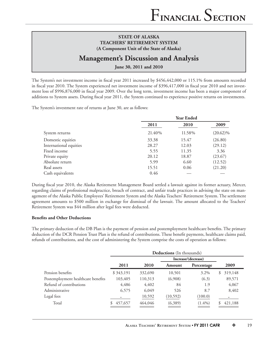## **Management's Discussion and Analysis**

**June 30, 2011 and 2010**

The System's net investment income in fiscal year 2011 increased by \$456,442,000 or 115.1% from amounts recorded in fiscal year 2010. The System experienced net investment income of \$396,417,000 in fiscal year 2010 and net investment loss of \$996,876,000 in fiscal year 2009. Over the long term, investment income has been a major component of additions to System assets. During fiscal year 2011, the System continued to experience positive returns on investments.

The System's investment rate of returns at June 30, are as follows:

|                        | <b>Year Ended</b> |        |             |  |  |
|------------------------|-------------------|--------|-------------|--|--|
|                        | 2011              | 2010   | 2009        |  |  |
| System returns         | 21.40%            | 11.58% | $(20.62)\%$ |  |  |
| Domestic equities      | 33.38             | 15.47  | (26.80)     |  |  |
| International equities | 28.27             | 12.03  | (29.12)     |  |  |
| Fixed income           | 5.55              | 11.35  | 3.36        |  |  |
| Private equity         | 20.12             | 18.87  | (23.67)     |  |  |
| Absolute return        | 5.99              | 6.60   | (12.52)     |  |  |
| Real assets            | 15.51             | 0.06   | (21.20)     |  |  |
| Cash equivalents       | 0.46              |        |             |  |  |

During fiscal year 2010, the Alaska Retirement Management Board settled a lawsuit against its former actuary, Mercer, regarding claims of professional malpractice, breach of contract, and unfair trade practices in advising the state on management of the Alaska Public Employees' Retirement System and the Alaska Teachers' Retirement System. The settlement agreement amounts to \$500 million in exchange for dismissal of the lawsuit. The amount allocated to the Teachers' Retirement System was \$44 million after legal fees were deducted.

### **Benefits and Other Deductions**

The primary deduction of the DB Plan is the payment of pension and postemployment healthcare benefits. The primary deduction of the DCR Pension Trust Plan is the refund of contributions. These benefit payments, healthcare claims paid, refunds of contributions, and the cost of administering the System comprise the costs of operation as follows:

|                                    | <b>Deductions</b> (In thousands) |         |           |                     |               |  |  |
|------------------------------------|----------------------------------|---------|-----------|---------------------|---------------|--|--|
|                                    |                                  |         |           | Increase/(decrease) |               |  |  |
|                                    | 2011                             | 2010    | Amount    | Percentage          | 2009          |  |  |
| Pension benefits                   | \$343,191                        | 332,690 | 10,501    | $3.2\%$             | 319,148<br>\$ |  |  |
| Postemployment healthcare benefits | 103,405                          | 110,313 | (6,908)   | (6.3)               | 89,571        |  |  |
| Refund of contributions            | 4,486                            | 4,402   | 84        | 1.9                 | 4,067         |  |  |
| Administrative                     | 6,575                            | 6,049   | 526       | 8.7                 | 8,402         |  |  |
| Legal fees                         |                                  | 10,592  | (10, 592) | (100.0)             |               |  |  |
| Total                              | 457,657<br>S                     | 464,046 | (6,389)   | $(1.4\%)$           | 421,188       |  |  |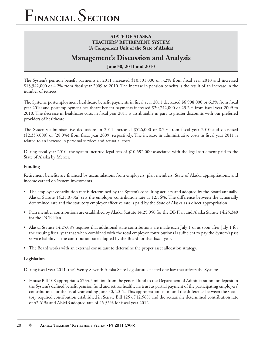## **STATE OF ALASKA TEACHERS' RETIREMENT SYSTEM (A Component Unit of the State of Alaska)**

## **Management's Discussion and Analysis**

**June 30, 2011 and 2010**

The System's pension benefit payments in 2011 increased \$10,501,000 or 3.2% from fiscal year 2010 and increased  $$13,542,000$  or  $4.2\%$  from fiscal year 2009 to 2010. The increase in pension benefits is the result of an increase in the number of retirees.

The System's postemployment healthcare benefit payments in fiscal year 2011 decreased \$6,908,000 or 6.3% from fiscal year 2010 and postemployment healthcare benefit payments increased \$20,742,000 or 23.2% from fiscal year 2009 to 2010. The decrease in healthcare costs in fiscal year 2011 is attributable in part to greater discounts with our preferred providers of healthcare.

The System's administrative deductions in 2011 increased \$526,000 or 8.7% from fiscal year 2010 and decreased (\$2,353,000) or (28.0%) from fiscal year 2009, respectively. The increase in administrative costs in fiscal year 2011 is related to an increase in personal services and actuarial costs.

During fiscal year 2010, the system incurred legal fees of \$10,592,000 associated with the legal settlement paid to the State of Alaska by Mercer.

### **Funding**

Retirement benefits are financed by accumulations from employers, plan members, State of Alaska appropriations, and income earned on System investments.

- The employer contribution rate is determined by the System's consulting actuary and adopted by the Board annually. Alaska Statute 14.25.070(a) sets the employer contribution rate at 12.56%. The difference between the actuarially determined rate and the statutory employer effective rate is paid by the State of Alaska as a direct appropriation.
- Plan member contributions are established by Alaska Statute 14.25.050 for the DB Plan and Alaska Statute 14.25.340 for the DCR Plan.
- Alaska Statute 14.25.085 requires that additional state contributions are made each July 1 or as soon after July 1 for the ensuing fiscal year that when combined with the total employer contributions is sufficient to pay the System's past service liability at the contribution rate adopted by the Board for that fiscal year.
- The Board works with an external consultant to determine the proper asset allocation strategy.

### **Legislation**

During fiscal year 2011, the Twenty-Seventh Alaska State Legislature enacted one law that affects the System:

• House Bill 108 appropriates \$234.5 million from the general fund to the Department of Administration for deposit in the System's defined benefit pension fund and retiree healthcare trust as partial payment of the participating employers' contributions for the fiscal year ending June 30, 2012. This appropriation is to fund the difference between the statutory required contribution established in Senate Bill 125 of 12.56% and the actuarially determined contribution rate of 42.61% and ARMB adopted rate of 45.55% for fiscal year 2012.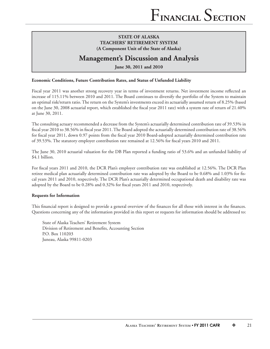## **Management's Discussion and Analysis**

**June 30, 2011 and 2010**

#### **Economic Conditions, Future Contribution Rates, and Status of Unfunded Liability**

Fiscal year 2011 was another strong recovery year in terms of investment returns. Net investment income reflected an increase of 115.11% between 2010 and 2011. The Board continues to diversify the portfolio of the System to maintain an optimal risk/return ratio. The return on the System's investments exceed its actuarially assumed return of 8.25% (based on the June 30, 2008 actuarial report, which established the fiscal year 2011 rate) with a system rate of return of  $21.40\%$ at June 30, 2011.

The consulting actuary recommended a decrease from the System's actuarially determined contribution rate of 39.53% in fiscal year 2010 to 38.56% in fiscal year 2011. The Board adopted the actuarially determined contribution rate of 38.56% for fiscal year 2011, down 0.97 points from the fiscal year 2010 Board-adopted actuarially determined contribution rate of 39.53%. The statutory employer contribution rate remained at 12.56% for fiscal years 2010 and 2011.

The June 30, 2010 actuarial valuation for the DB Plan reported a funding ratio of 53.6% and an unfunded liability of \$4.1 billion.

For fiscal years 2011 and 2010, the DCR Plan's employer contribution rate was established at 12.56%. The DCR Plan retiree medical plan actuarially determined contribution rate was adopted by the Board to be 0.68% and 1.03% for fiscal years 2011 and 2010, respectively. The DCR Plan's actuarially determined occupational death and disability rate was adopted by the Board to be 0.28% and 0.32% for fiscal years 2011 and 2010, respectively.

#### **Requests for Information**

This financial report is designed to provide a general overview of the finances for all those with interest in the finances. Questions concerning any of the information provided in this report or requests for information should be addressed to:

State of Alaska Teachers' Retirement System Division of Retirement and Benefits, Accounting Section P.O. Box 110203 Juneau, Alaska 99811-0203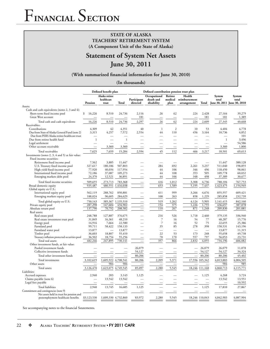## **STATE OF ALASKA TEACHERS' RETIREMENT SYSTEM (A Component Unit of the State of Alaska)**

## **Statement of System Net Assets June 30, 2011**

#### (With summarized financial information for June 30, 2010)

**(In thousands)**

|                                                  | Defined benefit plan     |                                       | Defined contribution pension trust plan |                          |                                         |                            |                                        |                |                                                |                 |
|--------------------------------------------------|--------------------------|---------------------------------------|-----------------------------------------|--------------------------|-----------------------------------------|----------------------------|----------------------------------------|----------------|------------------------------------------------|-----------------|
|                                                  | Pension                  | Alaska retiree<br>healthcare<br>trust | Total                                   | Participant<br>directed  | Occupational<br>death and<br>disability | Retiree<br>medical<br>plan | Health<br>reimbursement<br>arrangement | Total          | System<br>total<br>June 30, 2011 June 30, 2010 | System<br>total |
| Assets:                                          |                          |                                       |                                         |                          |                                         |                            |                                        |                |                                                |                 |
| Cash and cash equivalents (notes 2, 3 and 4):    |                          |                                       |                                         |                          |                                         |                            |                                        |                |                                                |                 |
| Short-term fixed income pool                     | 16,226<br>\$             | 8,510                                 | 24,736                                  | 2,116                    | 26                                      | 62                         | 224                                    | 2,428          | 27,164                                         | 39,279          |
| Great West account                               |                          |                                       |                                         | 181                      | —                                       |                            |                                        | 181            | 181                                            | 1,389           |
| Total cash and cash equivalents                  | 16,226                   | 8,510                                 | 24,736                                  | 2,297                    | 26                                      | 62                         | 224                                    | 2,609          | 27,345                                         | 40,668          |
| Receivables:                                     |                          |                                       |                                         |                          |                                         |                            |                                        |                |                                                |                 |
| Contributions                                    | 4,309                    | 42                                    | 4,351                                   | 40                       | $\mathbf{1}$                            | $\overline{c}$             | 10                                     | 53             | 4,404                                          | 4,778           |
| Due from State of Alaska General Fund (note 2)   | 3,315                    | 4,257                                 | 7,572                                   | 2,554                    | 44                                      | 110                        | 456                                    | 3,164          | 10,736                                         | 4,852           |
| Due from PERS Alaska retiree healthcare trust    |                          |                                       |                                         |                          |                                         |                            |                                        |                |                                                | 101             |
| Due from retiree health fund                     | $\overline{1}$           |                                       | $\mathbf{1}$                            |                          |                                         |                            |                                        |                | $\mathbf{1}$                                   | 3,496           |
| Legal settlement                                 |                          |                                       |                                         |                          |                                         |                            |                                        |                |                                                | 54,586          |
| Other account receivable                         |                          | 3,360                                 | 3,360                                   |                          |                                         |                            |                                        |                | 3,360                                          | 1,800           |
| Total receivables                                | 7,625                    | 7,659                                 | 15,284                                  | 2,594                    | 45                                      | 112                        | 466                                    | 3,217          | 18,501                                         | 69,613          |
| Investments (notes 2, 3, 4 and 5) at fair value: |                          |                                       |                                         |                          |                                         |                            |                                        |                |                                                |                 |
| Fixed income securities:                         |                          |                                       |                                         |                          |                                         |                            |                                        |                |                                                |                 |
| Retirement fixed income pool                     | 7,562                    | 3,885                                 | 11,447                                  |                          |                                         |                            |                                        |                | 11,447                                         | 380,128         |
| U.S. Treasury fixed income pool                  | 327,617                  | 180,186                               | 507,803                                 |                          | 284                                     | 692                        | 2,261                                  | 3,237          | 511,040                                        | 198,855         |
| High yield fixed-income pool                     | 77,920                   | 40,034                                | 117,954                                 |                          | 44                                      | 106                        | 346                                    | 496            | 118,450                                        | 98,061          |
| International fixed income pool                  | 72,186                   | 37,087                                | 109,273                                 |                          | 44                                      | 108                        | 353                                    | 505            | 109,778                                        | 60,032          |
| Emerging markets debt pool                       | 24,370                   | 12,521                                | 36,891                                  |                          | 44                                      | 106                        | 348                                    | 498            | 37,389                                         | 30,677          |
| Total fixed income securities                    | 509,655                  | 273,713                               | 783,368                                 |                          | 416                                     | 1,012                      | 3,308                                  | 4,736          | 788,104                                        | 767,753         |
| Broad domestic equity                            | 935,487                  | 480,551                               | 1,416,038                               |                          | 653                                     | 1,589                      | 5,195                                  | 7,437          | 1,423,475                                      | 1,154,949       |
| Global equity ex-U.S.:                           |                          |                                       |                                         |                          |                                         |                            |                                        |                |                                                |                 |
| International equity pool                        | 562,119                  | 288,762                               | 850,881                                 |                          | 411                                     | 999                        | 3,266                                  | 4,676          | 855,557                                        | 609,421         |
| Emerging markets equity pool                     | 188,024                  | 96,605                                | 284,629                                 |                          | 108                                     | 263                        | 858                                    | 1,229          | 285,858                                        | 232,739         |
| Total global equity ex-U.S.                      | 750,143                  | 385,367                               | 1,135,510                               |                          | 519                                     | 1,262                      | 4,124                                  | 5,905          | 1,141,415                                      | 842,160         |
| Private equity pool                              | 287,298                  | 147,604                               | 434,902                                 |                          | 154                                     | 375                        | 1,226                                  | 1,755          | 436,657                                        | 387,078         |
| Absolute return pool                             | 137,790                  | 70,792                                | 208,582                                 |                          | 110                                     | 267                        | 871                                    | 1,248          | 209,830                                        | 201,081         |
| Real assets:                                     |                          |                                       |                                         |                          |                                         |                            |                                        |                |                                                |                 |
| Real estate pool                                 | 248,788                  | 127,887                               | 376,675                                 |                          | 216                                     | 526                        | 1,718                                  | 2,460          | 379,135                                        | 336,940         |
| Real estate investment trust pool                | 31,849                   | 16,361                                | 48,210                                  |                          | 7                                       | 16                         | 54                                     | 77             | 48,287                                         | 15,776          |
| Energy pool                                      | 14,916                   | 7,664                                 | 22,580                                  |                          | $\overline{7}$                          | 16                         | 52                                     | 75             | 22,655                                         | 25,386          |
| Farmland pool                                    | 99,711                   | 58,422                                | 158,133                                 |                          | 35                                      | 85                         | 278                                    | 398            | 158,531                                        | 143,196         |
| Farmland water pool                              | 13,877                   |                                       | 13,877                                  |                          |                                         |                            |                                        |                | 13,877                                         | 11,315          |
| Timber pool                                      | 36,603                   | 18,807                                | 55,410                                  |                          | 22                                      | 53                         | 173                                    | 248            | 55,658                                         | 49,738          |
| Treasury inflation protected securities pool     | 36,502                   | 18,754                                | 55,256                                  |                          | 70                                      | 170                        | 557                                    | 797            | 56,053                                         | 23,731          |
| Total real assets                                | 482,246                  | 247,895                               | 730,141                                 |                          | $\frac{357}{ }$                         | 866                        | 2,832                                  | 4,055          | 734,196                                        | 606,082         |
| Other investment funds, at fair value:           |                          |                                       |                                         |                          |                                         |                            |                                        |                |                                                |                 |
| Pooled investment funds                          |                          |                                       |                                         | 26,079                   |                                         |                            |                                        | 26,079         | 26,079                                         | 11,078          |
| Collective investment funds                      |                          |                                       |                                         | 54,127                   |                                         |                            |                                        | 54,127         | 54,127                                         | 34,324          |
| Total other investment funds                     | $\overline{\phantom{0}}$ |                                       |                                         | 80,206                   | $\overline{\phantom{m}}$                |                            |                                        | 80,206         | 80,206                                         | 45,402          |
| Total investments                                | 3,102,619                | 1,605,922                             | 4,708,541                               | 80,206                   | 2,209                                   | 5,371                      |                                        | 17,556 105,342 | 4,813,883                                      | 4,004,505       |
| Other assets                                     | $\overline{\phantom{0}}$ | 984                                   | 984                                     |                          |                                         |                            |                                        |                | 984                                            | 985             |
| Total assets                                     | 3,126,470                | 1,623,075                             | 4,749,545                               | 85,097                   | 2,280                                   | 5,545                      |                                        | 18,246 111,168 | 4,860,713                                      | 4,115,771       |
| Liabilities:                                     |                          |                                       |                                         |                          |                                         |                            |                                        |                |                                                |                 |
| Accrued expenses                                 | 2,940                    | 203                                   | 3.143                                   | 1,125                    |                                         |                            |                                        | 1,125          | 4,268                                          | 3,724           |
| Claims payable (note 6)                          |                          | 13,542                                | 13,542                                  | $\overline{\phantom{a}}$ | $\overline{\phantom{0}}$                |                            |                                        |                | 13,542                                         | 13,551          |
| Legal fees payable                               |                          |                                       | $=$                                     |                          |                                         |                            |                                        |                | $\equiv$                                       | 10,592          |
| <b>Total liabilities</b>                         | 2,940                    | 13,745                                | 16,685                                  | 1,125                    |                                         |                            |                                        | 1,125          | 17,810                                         | 27,867          |
| Commitment and contingencies (note 9)            |                          |                                       |                                         |                          |                                         |                            |                                        |                |                                                |                 |
| Net assets held in trust for pension and         |                          |                                       |                                         |                          |                                         |                            |                                        |                |                                                |                 |
| postemployment healthcare benefits               | \$3,123,530              | 1,609,330 4,732,860                   |                                         | 83,972                   | 2,280                                   | 5,545                      |                                        | 18,246 110,043 | 4,842,903                                      | 4,087,904       |

See accompanying notes to the financial Sstatements.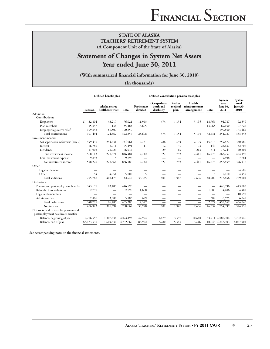## **Statement of Changes in System Net Assets Year ended June 30, 2011**

(With summarized financial information for June 30, 2010)

**(In thousands)**

|                                                                                 | Defined benefit plan |                                    |           |                         | Defined contribution pension trust plan |                            |                                        |                               |                                     |                                     |
|---------------------------------------------------------------------------------|----------------------|------------------------------------|-----------|-------------------------|-----------------------------------------|----------------------------|----------------------------------------|-------------------------------|-------------------------------------|-------------------------------------|
|                                                                                 | Pension              | Alaska retiree<br>healthcare trust | Total     | Participant<br>directed | Occupational<br>death and<br>disability | Retiree<br>medical<br>plan | Health<br>reimbursement<br>arrangement | Total                         | System<br>total<br>June 30,<br>2011 | System<br>total<br>June 30,<br>2010 |
| Additions:                                                                      |                      |                                    |           |                         |                                         |                            |                                        |                               |                                     |                                     |
| Contributions:                                                                  |                      |                                    |           |                         |                                         |                            |                                        |                               |                                     |                                     |
| Employers                                                                       | 32,804<br>\$         | 43,217                             | 76,021    | 11,943                  | 474                                     | 1,154                      | 5,195                                  | 18,766                        | 94,787                              | 92,359                              |
| Plan members                                                                    | 55,347               | 138                                | 55,485    | 13,665                  |                                         |                            |                                        | 13,665                        | 69,150                              | 67,722                              |
| Employer legislative relief                                                     | 109,343              | 81,507                             | 190,850   | -                       |                                         |                            |                                        | $\overbrace{\phantom{12333}}$ | 190,850                             | 173,462                             |
| Total contributions                                                             | 197,494              | 124,862                            | 322,356   | 25,608                  | 474                                     | 1,154                      | 5,195                                  | 32,431                        | 354,787                             | 333,543                             |
| Investment income:                                                              |                      |                                    |           |                         |                                         |                            |                                        |                               |                                     |                                     |
| Net appreciation in fair value (note 2)                                         | 499,430              | 244,631                            | 744,061   | 12,731                  | 286                                     | 694                        | 2,105                                  | 15,816                        | 759,877                             | 330,986                             |
| Interest                                                                        | 16,780               | 8,711                              | 25,491    | 11                      | 12                                      | 30                         | 93                                     | 146                           | 25,637                              | 32,708                              |
| <b>Dividends</b>                                                                | 51,903               | 25,029                             | 76,932    |                         | 29                                      | 69                         | 213                                    | 311                           | 77,243                              | 40,504                              |
| Total investment income                                                         | 568,113              | 278,371                            | 846,484   | 12,742                  | 327                                     | 793                        | 2,411                                  | 16,273                        | 862,757                             | 404,198                             |
| Less investment expense                                                         | 9,893                | 5                                  | 9,898     |                         |                                         |                            |                                        |                               | 9,898                               | 7,781                               |
| Net investment income                                                           | 558,220              | 278,366                            | 836,586   | 12,742                  | 327                                     | 793                        | 2,411                                  | 16,273                        | 852,859                             | 396,417                             |
| Other:                                                                          |                      |                                    |           |                         |                                         |                            |                                        |                               |                                     |                                     |
| Legal settlement                                                                |                      |                                    |           |                         |                                         |                            |                                        |                               |                                     | 54,585                              |
| Other                                                                           | 54                   | 4,951                              | 5,005     | 5                       |                                         |                            |                                        | 5                             | 5,010                               | 4,459                               |
| Total additions                                                                 | 755,768              | 408,179                            | 1,163,947 | 38,355                  | 801                                     | 1,947                      | 7,606                                  | 48,709                        | 1,212,656                           | 789,004                             |
| Deductions:                                                                     |                      |                                    |           |                         |                                         |                            |                                        |                               |                                     |                                     |
| Pension and postemployment benefits                                             | 343,191              | 103,405                            | 446,596   |                         |                                         |                            |                                        |                               | 446,596                             | 443,003                             |
| Refunds of contributions                                                        | 2,798                |                                    | 2,798     | 1,688                   |                                         |                            |                                        | 1,688                         | 4,486                               | 4,402                               |
| Legal settlement fees                                                           |                      |                                    |           |                         |                                         |                            |                                        |                               |                                     | 10,592                              |
| Administrative                                                                  | 2,806                | 3,080                              | 5,886     | 689                     | $\overline{\phantom{0}}$                |                            |                                        | 689                           | 6,575                               | 6,049                               |
| Total deductions                                                                | 348,795              | 106,485                            | 455,280   | 2,377                   | -                                       |                            | $\overline{\phantom{0}}$               | 2,377                         | 457,657                             | 464,046                             |
| Net increase                                                                    | 406,973              | 301,694                            | 708,667   | 35,978                  | 801                                     | 1,947                      | 7,606                                  | 46,332                        | 754,999                             | 324,958                             |
| Net assets held in trust for pension and<br>postemployment healthcare benefits: |                      |                                    |           |                         |                                         |                            |                                        |                               |                                     |                                     |
| Balance, beginning of year                                                      | 2,716,557            | 1,307,636                          | 4,024,193 | 47,994                  | 1,479                                   | 3,598                      | 10,640                                 |                               | 63,711 4,087,904                    | 3,762,946                           |
| Balance, end of year                                                            | \$3,123,530          | 1,609,330                          | 4,732,860 | 83,972                  | 2,280                                   | 5,545                      | 18,246                                 |                               | 110,043 4,842,903                   | 4,087,904                           |

See accompanying notes to the financial statements.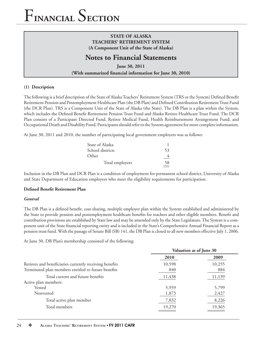## **STATE OF ALASKA TEACHERS' RETIREMENT SYSTEM (A Component Unit of the State of Alaska)**

## **Notes to Financial Statements**

**June 30, 2011** (With summarized financial information for June 30, 2010)

## **(1) Description**

The following is a brief description of the State of Alaska Teachers' Retirement System (TRS or the System) Defined Benefit Retirement Pension and Postemployment Healthcare Plan (the DB Plan) and Defined Contribution Retirement Trust Fund (the DCR Plan). TRS is a Component Unit of the State of Alaska (the State). The DB Plan is a plan within the System, which includes the Defined Benefit Retirement Pension Trust Fund and Alaska Retiree Healthcare Trust Fund. The DCR Plan consists of a Participant Directed Fund, Retiree Medical Fund, Health Reimbursement Arrangement Fund, and Occupational Death and Disability Fund. Participants should refer to the System agreement for more complete information.

At June 30, 2011 and 2010, the number of participating local government employers was as follows:

| State of Alaska  |    |
|------------------|----|
| School districts | 53 |
| Other            |    |
| Total employers  | 58 |

Inclusion in the DB Plan and DCR Plan is a condition of employment for permanent school district, University of Alaska and State Department of Education employees who meet the eligibility requirements for participation.

## **Defined Benefit Retirement Plan**

### *General*

The DB Plan is a defined benefit, cost-sharing, multiple employer plan within the System established and administered by the State to provide pension and postemployment healthcare benefits for teachers and other eligible members. Benefit and contribution provisions are established by State law and may be amended only by the State Legislature. The System is a component unit of the State financial reporting entity and is included in the State's Comprehensive Annual Financial Report as a pension trust fund. With the passage of Senate Bill (SB) 141, the DB Plan is closed to all new members effective July 1, 2006.

At June 30, DB Plan's membership consisted of the following:

|                                                                                                                | Valuation as of June 30 |               |  |
|----------------------------------------------------------------------------------------------------------------|-------------------------|---------------|--|
|                                                                                                                | 2010                    | 2009          |  |
| Retirees and beneficiaries currently receiving benefits<br>Terminated plan members entitled to future benefits | 10,598<br>840           | 10,255<br>884 |  |
| Total current and future benefits                                                                              | 11,438                  | 11,139        |  |
| Active plan members:                                                                                           |                         |               |  |
| Vested                                                                                                         | 5,959                   | 5,799         |  |
| Nonvested                                                                                                      | 1,873                   | 2,427         |  |
| Total active plan member                                                                                       | 7,832                   | 8,226         |  |
| Total members                                                                                                  | 19,270                  | 19,365        |  |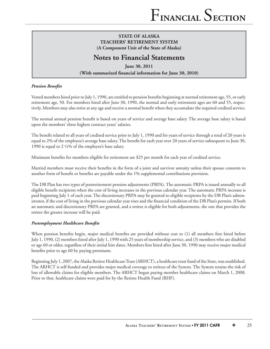## **Notes to Financial Statements**

**June 30, 2011** (With summarized financial information for June 30, 2010)

### **Pension Benefits**

Vested members hired prior to July 1, 1990, are entitled to pension benefits beginning at normal retirement age, 55, or early retirement age, 50. For members hired after June 30, 1990, the normal and early retirement ages are 60 and 55, respectively. Members may also retire at any age and receive a normal benefit when they accumulate the required credited service.

The normal annual pension benefit is based on years of service and average base salary. The average base salary is based upon the members' three highest contract years' salaries.

The benefit related to all years of credited service prior to July 1, 1990 and for years of service through a total of 20 years is equal to 2% of the employee's average base salary. The benefit for each year over 20 years of service subsequent to June 30, 1990 is equal to 2 ½% of the employee's base salary.

Minimum benefits for members eligible for retirement are \$25 per month for each year of credited service.

Married members must receive their benefits in the form of a joint and survivor annuity unless their spouse consents to another form of benefit or benefits are payable under the 1% supplemental contributions provision.

The DB Plan has two types of postretirement pension adjustments (PRPA). The automatic PRPA is issued annually to all eligible benefit recipients when the cost of living increases in the previous calendar year. The automatic PRPA increase is paid beginning July 1 of each year. The discretionary PRPA may be granted to eligible recipients by the DB Plan's administrator, if the cost of living in the previous calendar year rises and the financial condition of the DB Plan's permits. If both an automatic and discretionary PRPA are granted, and a retiree is eligible for both adjustments, the one that provides the retiree the greater increase will be paid.

### **Postemployment Healthcare Benefits**

When pension benefits begin, major medical benefits are provided without cost to (1) all members first hired before July 1, 1990, (2) members hired after July 1, 1990 with 25 years of membership service, and (3) members who are disabled or age 60 or older, regardless of their initial hire dates. Members first hired after June 30, 1990 may receive major medical benefits prior to age 60 by paying premiums.

Beginning July 1, 2007, the Alaska Retiree Healthcare Trust (ARHCT), a healthcare trust fund of the State, was established. The ARHCT is self-funded and provides major medical coverage to retirees of the System. The System retains the risk of loss of allowable claims for eligible members. The ARHCT began paying member healthcare claims on March 1, 2008. Prior to that, healthcare claims were paid for by the Retiree Health Fund (RHF).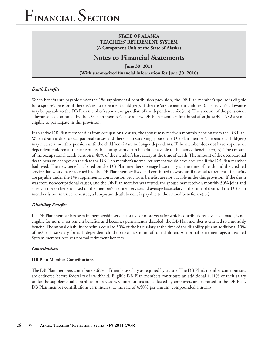## **STATE OF ALASKA TEACHERS' RETIREMENT SYSTEM (A Component Unit of the State of Alaska)**

## **Notes to Financial Statements**

**June 30, 2011** (With summarized financial information for June 30, 2010)

### *Death Benefits*

When benefits are payable under the 1% supplemental contribution provision, the DB Plan member's spouse is eligible for a spouse's pension if there is/are no dependent child(ren). If there is/are dependent child(ren), a survivor's allowance may be payable to the DB Plan member's spouse, or guardian of the dependent child(ren). The amount of the pension or allowance is determined by the DB Plan member's base salary. DB Plan members first hired after June 30, 1982 are not eligible to participate in this provision.

If an active DB Plan member dies from occupational causes, the spouse may receive a monthly pension from the DB Plan. When death is due to occupational causes and there is no surviving spouse, the DB Plan member's dependent child(ren) may receive a monthly pension until the child(ren) is/are no longer dependents. If the member does not have a spouse or dependent children at the time of death, a lump-sum death benefit is payable to the named beneficiary(ies). The amount of the occupational death pension is 40% of the member's base salary at the time of death. The amount of the occupational death pension changes on the date the DB Plan member's normal retirement would have occurred if the DB Plan member had lived. The new benefit is based on the DB Plan member's average base salary at the time of death and the credited service that would have accrued had the DB Plan member lived and continued to work until normal retirement. If benefits are payable under the 1% supplemental contribution provision, benefits are not payable under this provision. If the death was from nonoccupational causes, and the DB Plan member was vested, the spouse may receive a monthly 50% joint and survivor option benefit based on the member's credited service and average base salary at the time of death. If the DB Plan member is not married or vested, a lump-sum death benefit is payable to the named beneficiary(ies).

### *Disability Benefits*

If a DB Plan member has been in membership service for five or more years for which contributions have been made, is not eligible for normal retirement benefits, and becomes permanently disabled, the DB Plan member is entitled to a monthly benefit. The annual disability benefit is equal to 50% of the base salary at the time of the disability plus an additional 10% of his/her base salary for each dependent child up to a maximum of four children. At normal retirement age, a disabled System member receives normal retirement benefits.

#### *Contributions*

### **DB Plan Member Contributions**

The DB Plan members contribute 8.65% of their base salary as required by statute. The DB Plan's member contributions are deducted before federal tax is withheld. Eligible DB Plan members contribute an additional 1.11% of their salary under the supplemental contribution provision. Contributions are collected by employers and remitted to the DB Plan. DB Plan member contributions earn interest at the rate of 4.50% per annum, compounded annually.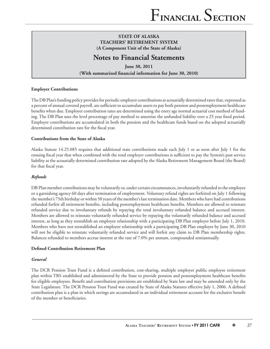## **Notes to Financial Statements**

**June 30, 2011 (With summarized financial information for June 30, 2010)** 

#### **Employer Contributions**

The DB Plan's funding policy provides for periodic employer contributions at actuarially determined rates that, expressed as a percent of annual covered payroll, are sufficient to accumulate assets to pay both pension and postemployment healthcare benefits when due. Employer contribution rates are determined using the entry age normal actuarial cost method of funding. The DB Plan uses the level percentage of pay method to amortize the unfunded liability over a 25 year fixed period. Employer contributions are accumulated in both the pension and the healthcare funds based on the adopted actuarially determined contribution rate for the fiscal year.

### **Contributions from the State of Alaska**

Alaska Statute 14.25.085 requires that additional state contributions made each July 1 or as soon after July 1 for the ensuing fiscal year that when combined with the total employer contributions is sufficient to pay the System's past service liability at the actuarially determined contribution rate adopted by the Alaska Retirement Management Board (the Board) for that fiscal year.

### *Refunds*

DB Plan member contributions may be voluntarily or, under certain circumstances, involuntarily refunded to the employee or a garnishing agency 60 days after termination of employment. Voluntary refund rights are forfeited on July 1 following the member's 75th birthday or within 50 years of the member's last termination date. Members who have had contributions refunded forfeit all retirement benefits, including postemployment healthcare benefits. Members are allowed to reinstate refunded service due to involuntary refunds by repaying the total involuntary refunded balance and accrued interest. Members are allowed to reinstate voluntarily refunded service by repaying the voluntarily refunded balance and accrued interest, as long as they reestablish an employee relationship with a participating DB Plan employer before July 1, 2010. Members who have not reestablished an employee relationship with a participating DB Plan employer by June 30, 2010 will not be eligible to reinstate voluntarily refunded service and will forfeit any claim to DB Plan membership rights. Balances refunded to members accrue interest at the rate of 7.0% per annum, compounded semiannually.

#### **Defined Contribution Retirement Plan**

#### *General*

The DCR Pension Trust Fund is a defined contribution, cost-sharing, multiple employer public employee retirement plan within TRS established and administered by the State to provide pension and postemployment healthcare benefits for eligible employees. Benefit and contribution provisions are established by State law and may be amended only by the State Legislature. The DCR Pension Trust Fund was created by State of Alaska Statutes effective July 1, 2006. A defined contribution plan is a plan in which savings are accumulated in an individual retirement account for the exclusive benefit of the member or beneficiaries.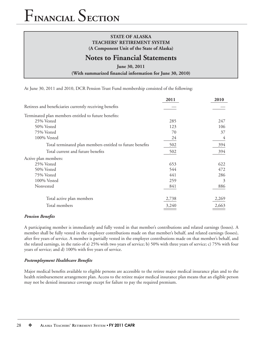## **STATE OF ALASKA TEACHERS' RETIREMENT SYSTEM (A Component Unit of the State of Alaska)**

## **Notes to Financial Statements**

**June 30, 2011**

(With summarized financial information for June 30, 2010)

At June 30, 2011 and 2010, DCR Pension Trust Fund membership consisted of the following:

|                                                           | 2011  | 2010  |
|-----------------------------------------------------------|-------|-------|
| Retirees and beneficiaries currently receiving benefits   |       |       |
| Terminated plan members entitled to future benefits:      |       |       |
| 25% Vested                                                | 285   | 247   |
| 50% Vested                                                | 123   | 106   |
| 75% Vested                                                | 70    | 37    |
| 100% Vested                                               | 24    | 4     |
| Total terminated plan members entitled to future benefits | 502   | 394   |
| Total current and future benefits                         | 502   | 394   |
| Active plan members:                                      |       |       |
| 25% Vested                                                | 653   | 622   |
| 50% Vested                                                | 544   | 472   |
| 75% Vested                                                | 441   | 286   |
| 100% Vested                                               | 259   | 3     |
| Nonvested                                                 | 841   | 886   |
| Total active plan members                                 | 2,738 | 2,269 |
| Total members                                             | 3,240 | 2,663 |

#### **Pension Benefits**

A participating member is immediately and fully vested in that member's contributions and related earnings (losses). A member shall be fully vested in the employer contributions made on that member's behalf, and related earnings (losses), after five years of service. A member is partially vested in the employer contributions made on that member's behalf, and the related earnings, in the ratio of a) 25% with two years of service; b) 50% with three years of service; c) 75% with four years of service; and d) 100% with five years of service.

### **Postemployment Healthcare Benefits**

Major medical benefits available to eligible persons are accessible to the retiree major medical insurance plan and to the health reimbursement arrangement plan. Access to the retiree major medical insurance plan means that an eligible person may not be denied insurance coverage except for failure to pay the required premium.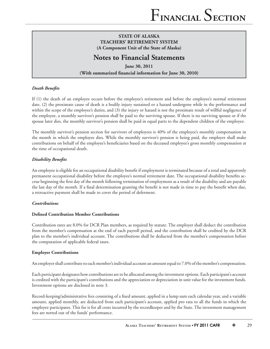## **Notes to Financial Statements**

**June 30, 2011** (With summarized financial information for June 30, 2010)

### *Death Benefits*

If (1) the death of an employee occurs before the employee's retirement and before the employee's normal retirement date, (2) the proximate cause of death is a bodily injury sustained or a hazard undergone while in the performance and within the scope of the employee's duties, and (3) the injury or hazard is not the proximate result of willful negligence of the employee, a monthly survivor's pension shall be paid to the surviving spouse. If there is no surviving spouse or if the spouse later dies, the monthly survivor's pension shall be paid in equal parts to the dependent children of the employee.

The monthly survivor's pension section for survivors of employees is 40% of the employee's monthly compensation in the month in which the employee dies. While the monthly survivor's pension is being paid, the employer shall make contributions on behalf of the employee's beneficiaries based on the deceased employee's gross monthly compensation at the time of occupational death.

## *Disability Benefits*

An employee is eligible for an occupational disability benefi t if employment is terminated because of a total and apparently permanent occupational disability before the employee's normal retirement date. The occupational disability benefits accrue beginning the first day of the month following termination of employment as a result of the disability and are payable the last day of the month. If a final determination granting the benefit is not made in time to pay the benefit when due, a retroactive payment shall be made to cover the period of deferment.

### *Contributions*

### **Defined Contribution Member Contributions**

Contribution rates are 8.0% for DCR Plan members, as required by statute. The employer shall deduct the contribution from the member's compensation at the end of each payroll period, and the contribution shall be credited by the DCR plan to the member's individual account. The contributions shall be deducted from the member's compensation before the computation of applicable federal taxes.

### **Employer Contributions**

An employer shall contribute to each member's individual account an amount equal to 7.0% of the member's compensation.

Each participant designates how contributions are to be allocated among the investment options. Each participant's account is credited with the participant's contributions and the appreciation or depreciation in unit value for the investment funds. Investment options are disclosed in note 3.

Record-keeping/administrative fees consisting of a fixed amount, applied in a lump sum each calendar year, and a variable amount, applied monthly, are deducted from each participant's account, applied pro rata to all the funds in which the employee participates. This fee is for all costs incurred by the recordkeeper and by the State. The investment management fees are netted out of the funds' performance.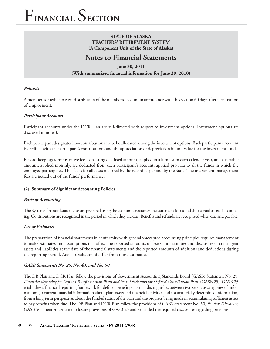## **STATE OF ALASKA TEACHERS' RETIREMENT SYSTEM (A Component Unit of the State of Alaska)**

## **Notes to Financial Statements**

**June 30, 2011 (With summarized financial information for June 30, 2010)** 

## *Refunds*

A member is eligible to elect distribution of the member's account in accordance with this section 60 days after termination of employment.

### *Participant Accounts*

Participant accounts under the DCR Plan are self-directed with respect to investment options. Investment options are disclosed in note 3.

Each participant designates how contributions are to be allocated among the investment options. Each participant's account is credited with the participant's contributions and the appreciation or depreciation in unit value for the investment funds.

Record-keeping/administrative fees consisting of a fixed amount, applied in a lump sum each calendar year, and a variable amount, applied monthly, are deducted from each participant's account, applied pro rata to all the funds in which the employee participates. This fee is for all costs incurred by the recordkeeper and by the State. The investment management fees are netted out of the funds' performance.

### (2) Summary of Significant Accounting Policies

### *Basis of Accounting*

The System's financial statements are prepared using the economic resources measurement focus and the accrual basis of accounting. Contributions are recognized in the period in which they are due. Benefits and refunds are recognized when due and payable.

### *Use of Estimates*

The preparation of financial statements in conformity with generally accepted accounting principles requires management to make estimates and assumptions that affect the reported amounts of assets and liabilities and disclosure of contingent assets and liabilities at the date of the financial statements and the reported amounts of additions and deductions during the reporting period. Actual results could differ from those estimates.

### *GASB Statements No. 25, No. 43, and No. 50*

The DB Plan and DCR Plan follow the provisions of Government Accounting Standards Board (GASB) Statement No. 25, *Financial Reporting for Defined Benefit Pension Plans and Note Disclosures for Defined Contribution Plans* (GASB 25). GASB 25 establishes a financial reporting framework for defined benefit plans that distinguishes between two separate categories of information: (a) current financial information about plan assets and financial activities and (b) actuarially determined information, from a long-term perspective, about the funded status of the plan and the progress being made in accumulating sufficient assets to pay benefits when due. The DB Plan and DCR Plan follow the provisions of GABS Statement No. 50, *Pension Disclosure*; GASB 50 amended certain disclosure provisions of GASB 25 and expanded the required disclosures regarding pensions.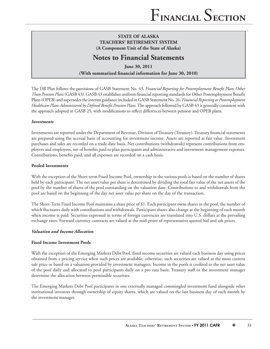## **Notes to Financial Statements**

**June 30, 2011** (With summarized financial information for June 30, 2010)

The DB Plan follows the provisions of GASB Statement No. 43, *Financial Reporting for Postemployment Benefi t Plans Other Than Pension Plans* (GASB 43). GASB 43 establishes uniform financial reporting standards for Other Postemployment Benefit Plans (OPEB) and supersedes the interim guidance included in GASB Statement No. 26, *Financial Reporting or Postemployment*  Healthcare Plans Administered by Defined Benefit Pension Plans. The approach followed by GASB 43 is generally consistent with the approach adopted in GASB 25, with modifications to reflect differences between pension and OPEB plans.

### *Investments*

Investments are reported under the Department of Revenue, Division of Treasury (Treasury). Treasury financial statements are prepared using the accrual basis of accounting for investment income. Assets are reported at fair value. Investment purchases and sales are recorded on a trade-date basis. Net contributions (withdrawals) represent contributions from employers and employees, net of benefits paid to plan participants and administrative and investment management expenses. Contributions, benefits paid, and all expenses are recorded on a cash basis.

### **Pooled Investments**

With the exception of the Short-term Fixed Income Pool, ownership in the various pools is based on the number of shares held by each participant. The net asset value per share is determined by dividing the total fair value of the net assets of the pool by the number of shares of the pool outstanding on the valuation date. Contributions to and withdrawals from the pool are based on the beginning of the day net asset value per share on the day of the transaction.

The Short-Term Fixed Income Pool maintains a share price of \$1. Each participant owns shares in the pool, the number of which fluctuates daily with contributions and withdrawals. Participant shares also change at the beginning of each month when income is paid. Securities expressed in terms of foreign currencies are translated into U.S. dollars at the prevailing exchange rates. Forward currency contracts are valued at the mid-point of representative quoted bid and ask prices.

## *Valuation and Income Allocation*

## **Fixed Income Investment Pools**

With the exception of the Emerging Markets Debt Pool, fixed income securities are valued each business day using prices obtained from a pricing service when such prices are available; otherwise, such securities are valued at the most current sale price or based on a valuation provided by investment managers. Income in the pools is credited to the net asset value of the pool daily and allocated to pool participants daily on a pro rata basis. Treasury staff or the investment manager determine the allocation between permissible securities.

The Emerging Markets Debt Pool participates in one externally managed commingled investment fund alongside other institutional investors through ownership of equity shares, which are valued on the last business day of each month by the investment manager.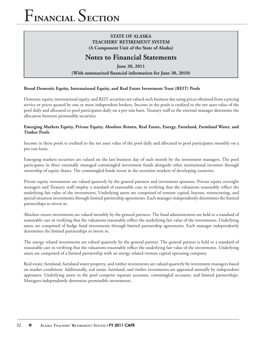## **STATE OF ALASKA TEACHERS' RETIREMENT SYSTEM (A Component Unit of the State of Alaska)**

## **Notes to Financial Statements**

**June 30, 2011** (With summarized financial information for June 30, 2010)

### **Broad Domestic Equity, International Equity, and Real Estate Investment Trust (REIT) Pools**

Domestic equity, international equity, and REIT securities are valued each business day using prices obtained from a pricing service or prices quoted by one or more independent brokers. Income in the pools is credited to the net asset value of the pool daily and allocated to pool participants daily on a pro rata basis. Treasury staff or the external manager determine the allocation between permissible securities.

#### **Emerging Markets Equity, Private Equity, Absolute Return, Real Estate, Energy, Farmland, Farmland Water, and Timber Pools**

Income in these pools is credited to the net asset value of the pool daily and allocated to pool participants monthly on a pro rata basis.

Emerging markets securities are valued on the last business day of each month by the investment managers. The pool participates in three externally managed commingled investment funds alongside other institutional investors through ownership of equity shares. The commingled funds invest in the securities markets of developing countries.

Private equity investments are valued quarterly by the general partners and investment sponsors. Private equity oversight managers and Treasury staff employ a standard of reasonable care in verifying that the valuations reasonably reflect the underlying fair value of the investments. Underlying assets are comprised of venture capital, buyout, restructuring, and special situation investments through limited partnership agreements. Each manager independently determines the limited partnerships to invest in.

Absolute return investments are valued monthly by the general partners. The fund administrators are held to a standard of reasonable care in verifying that the valuations reasonably reflect the underlying fair value of the investments. Underlying assets are comprised of hedge fund investments through limited partnership agreements. Each manager independently determines the limited partnerships to invest in.

The energy related investments are valued quarterly by the general partner. The general partner is held to a standard of reasonable care in verifying that the valuations reasonably reflect the underlying fair value of the investments. Underlying assets are comprised of a limited partnership with an energy related venture capital operating company.

Real estate, farmland, farmland water property, and timber investments are valued quarterly by investment managers based on market conditions. Additionally, real estate, farmland, and timber investments are appraised annually by independent appraisers. Underlying assets in the pool comprise separate accounts, commingled accounts, and limited partnerships. Managers independently determine permissible investments.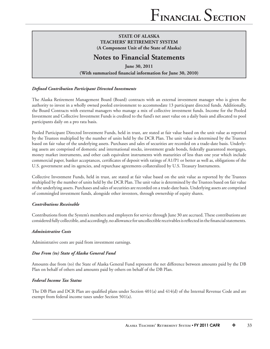## **Notes to Financial Statements**

**June 30, 2011** (With summarized financial information for June 30, 2010)

## *Defi ned Contribution Participant Directed Investments*

The Alaska Retirement Management Board (Board) contracts with an external investment manager who is given the authority to invest in a wholly owned pooled environment to accommodate 13 participant directed funds. Additionally, the Board Contracts with external managers who manage a mix of collective investment funds. Income for the Pooled Investment and Collective Investment Funds is credited to the fund's net asset value on a daily basis and allocated to pool participants daily on a pro rata basis.

Pooled Participant Directed Investment Funds, held in trust, are stated at fair value based on the unit value as reported by the Trustees multiplied by the number of units held by the DCR Plan. The unit value is determined by the Trustees based on fair value of the underlying assets. Purchases and sales of securities are recorded on a trade-date basis. Underlying assets are comprised of domestic and international stocks, investment grade bonds, federally guaranteed mortgages, money market instruments, and other cash equivalent instruments with maturities of less than one year which include commercial paper, banker acceptances, certificates of deposit with ratings of  $A1/P1$  or better as well as, obligations of the U.S. government and its agencies, and repurchase agreements collateralized by U.S. Treasury Instruments.

Collective Investment Funds, held in trust, are stated at fair value based on the unit value as reported by the Trustees multiplied by the number of units held by the DCR Plan. The unit value is determined by the Trustees based on fair value of the underlying assets. Purchases and sales of securities are recorded on a trade-date basis. Underlying assets are comprised of commingled investment funds, alongside other investors, through ownership of equity shares.

### *Contributions Receivable*

Contributions from the System's members and employers for service through June 30 are accrued. These contributions are considered fully collectible, and accordingly, no allowance for uncollectible receivables is reflected in the financial statements.

## *Administrative Costs*

Administrative costs are paid from investment earnings.

## *Due From (to) State of Alaska General Fund*

Amounts due from (to) the State of Alaska General Fund represent the net difference between amounts paid by the DB Plan on behalf of others and amounts paid by others on behalf of the DB Plan.

### *Federal Income Tax Status*

The DB Plan and DCR Plan are qualified plans under Section  $401(a)$  and  $414(d)$  of the Internal Revenue Code and are exempt from federal income taxes under Section 501(a).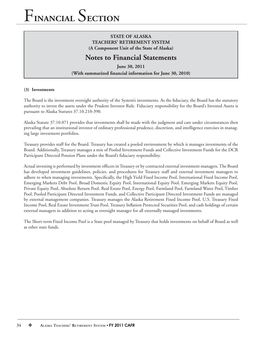## **STATE OF ALASKA TEACHERS' RETIREMENT SYSTEM (A Component Unit of the State of Alaska)**

## **Notes to Financial Statements**

**June 30, 2011 (With summarized financial information for June 30, 2010)** 

### **(3) Investments**

The Board is the investment oversight authority of the System's investments. As the fiduciary, the Board has the statutory authority to invest the assets under the Prudent Investor Rule. Fiduciary responsibility for the Board's Invested Assets is pursuant to Alaska Statutes 37.10.210-390.

Alaska Statute 37.10.071 provides that investments shall be made with the judgment and care under circumstances then prevailing that an institutional investor of ordinary professional prudence, discretion, and intelligence exercises in managing large investment portfolios.

Treasury provides staff for the Board. Treasury has created a pooled environment by which it manages investments of the Board. Additionally, Treasury manages a mix of Pooled Investment Funds and Collective Investment Funds for the DCR Participant Directed Pension Plans under the Board's fiduciary responsibility.

Actual investing is performed by investment officers in Treasury or by contracted external investment managers. The Board has developed investment guidelines, policies, and procedures for Treasury staff and external investment managers to adhere to when managing investments. Specifically, the High Yield Fixed Income Pool, International Fixed Income Pool, Emerging Markets Debt Pool, Broad Domestic Equity Pool, International Equity Pool, Emerging Markets Equity Pool, Private Equity Pool, Absolute Return Pool, Real Estate Pool, Energy Pool, Farmland Pool, Farmland Water Pool, Timber Pool, Pooled Participant Directed Investment Funds, and Collective Participant Directed Investment Funds are managed by external management companies. Treasury manages the Alaska Retirement Fixed Income Pool, U.S. Treasury Fixed Income Pool, Real Estate Investment Trust Pool, Treasury Inflation Protected Securities Pool, and cash holdings of certain external managers in addition to acting as oversight manager for all externally managed investments.

The Short-term Fixed Income Pool is a State pool managed by Treasury that holds investments on behalf of Board as well as other state funds.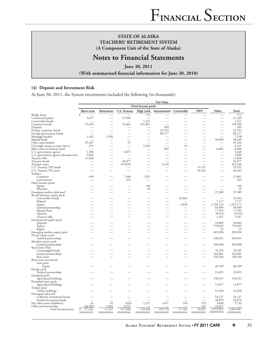## **Notes to Financial Statements**

**June 30, 2011**

(With summarized financial information for June 30, 2010)

#### **(4) Deposit and Investment Risk**

At June 30, 2011, the System investments included the following (in thousands):

|                                                     | <b>Fair Value</b>  |            |                      |            |                  |             |             |           |                   |
|-----------------------------------------------------|--------------------|------------|----------------------|------------|------------------|-------------|-------------|-----------|-------------------|
|                                                     | Fixed income pools |            |                      |            |                  |             |             |           |                   |
|                                                     | Short-term         | Retirement | <b>U.S. Treasury</b> | High yield | International    | Convertible | <b>TIPS</b> | Other     | Total             |
| Bridge loans                                        | \$                 |            |                      | 172        |                  |             |             |           | 172               |
| Commercial paper                                    | 5,657              |            | 15,506               |            |                  |             |             |           | 21,163            |
| Convertible bonds                                   |                    |            |                      | 1,421      |                  |             |             |           | 1,421             |
| Corporate bonds                                     | 25,024             |            | 23,462               | 101,863    |                  |             |             |           | 150,349           |
| Deposits                                            |                    |            |                      |            | 499              |             |             |           | 499               |
| Foreign corporate bonds<br>Foreign government bonds |                    |            |                      |            | 23,193<br>80,377 |             |             |           | 23,193<br>80,377  |
| Mortgage-backed                                     | 1,162              | 5,996      |                      |            |                  |             |             |           | 7,158             |
| Mutual funds                                        |                    |            |                      |            |                  |             |             | 58,409    | 58,409            |
| Other asset-backed                                  | 25,107             |            | 97                   |            |                  |             |             |           | 25,204            |
| Overnight sweep account (Imcs)                      | 675                |            |                      | 5,556      |                  | 93          |             |           | 6,324             |
| Short-term investment fund                          |                    |            |                      |            | 962              |             |             | 6,004     | 6,966             |
| U.S. government agency                              | 1,396              |            | 4,072                |            |                  |             |             |           | 5,468             |
| U.S. government agency discount note                | 2,069              |            |                      |            |                  |             |             |           | 2,069             |
| Treasury bills                                      | 11,828             |            |                      |            |                  |             |             |           | 11,828            |
| Treasury bonds                                      |                    |            | 34,977               |            |                  |             |             |           | 34,977            |
| Treasury notes<br>U.S. Treasury TIP bonds           |                    |            | 419,050              |            | 3,116            |             | 19,191      |           | 422,166<br>19,191 |
| U.S. Treasury TIP notes                             |                    |            |                      |            |                  |             | 36,342      |           | 36,342            |
| Yankees:                                            |                    |            |                      |            |                  |             |             |           |                   |
| Corporate                                           | 494                |            | 7,446                | 7,921      |                  |             |             |           | 15,861            |
| Government                                          |                    |            | 435                  |            |                  |             |             |           | 435               |
| Fixed income pools:                                 |                    |            |                      |            |                  |             |             |           |                   |
| Equity                                              |                    |            |                      | 136        |                  |             |             |           | 136               |
| Warrants                                            |                    |            |                      | 10         |                  |             |             |           | 10                |
| Emerging markets debt pool                          |                    |            |                      |            |                  |             |             | 37,389    | 37,389            |
| Broad domestic equity pool:                         |                    |            |                      |            |                  |             |             |           |                   |
| Convertible bonds                                   |                    |            |                      |            |                  | 23,963      |             | 7,117     | 23,963<br>7,117   |
| Deposit<br>Equity                                   |                    |            |                      |            |                  | 3,058       |             | 1,250,114 | 1,253,172         |
| Limited partnership                                 |                    |            |                      |            |                  |             |             | 94,909    | 94,909            |
| Mutual fund                                         |                    |            |                      |            |                  |             |             | 17,592    | 17,592            |
| Options                                             |                    |            |                      |            |                  |             |             | (8, 531)  | (8, 531)          |
| Treasury bills                                      |                    |            |                      |            |                  |             |             | 1,337     | 1,337             |
| International equity pool:                          |                    |            |                      |            |                  |             |             |           |                   |
| Deposits                                            |                    |            |                      |            |                  |             |             | 10,069    | 10,069            |
| Equity                                              |                    |            |                      |            |                  |             | -           | 778,633   | 778,633           |
| Rights                                              |                    |            |                      |            |                  |             |             | 55        | 55                |
| Emerging markets equity pool                        |                    |            |                      |            |                  |             |             | 285,858   | 285,858           |
| Private equity pool:<br>Limited partnerships        |                    |            |                      |            |                  |             |             | 436,031   | 436,031           |
| Absolute return pool:                               |                    |            |                      |            |                  |             |             |           |                   |
| Limited partnerships                                |                    |            |                      |            |                  |             |             | 209,830   | 209,830           |
| Real Estate Pool:                                   |                    |            |                      |            |                  |             |             |           |                   |
| Commingled funds                                    |                    |            |                      |            |                  |             |             | 79,785    | 79,785            |
| Limited partnerships                                |                    |            |                      |            |                  |             |             | 102,801   | 102,801           |
| Real estate                                         |                    |            |                      |            |                  |             |             | 196,549   | 196,549           |
| Real estate investment                              |                    |            |                      |            |                  |             |             |           |                   |
| trust pool:                                         |                    |            |                      |            |                  |             |             |           |                   |
| Equity                                              |                    |            |                      |            |                  |             |             | 48,109    | 48,109            |
| Energy pool:                                        |                    |            |                      |            |                  |             |             |           |                   |
| Limited partnerships<br>Farmland pool:              |                    |            |                      |            |                  |             |             | 22,655    | 22,655            |
| Agricultural holdings                               |                    |            |                      |            |                  |             |             | 158,531   | 158,531           |
| Farmland water pool:                                |                    |            |                      |            |                  |             |             |           |                   |
| Agricultural holdings                               |                    |            |                      |            |                  |             |             | 13,877    | 13,877            |
| Timber pool:                                        |                    |            |                      |            |                  |             |             |           |                   |
| Timber holdings                                     |                    |            |                      |            |                  |             |             | 55,658    | 55,658            |
| Participant directed:                               |                    |            |                      |            |                  |             |             |           |                   |
| Collective investment funds                         |                    |            |                      |            |                  |             |             | 54,127    | 54,127            |
| Pooled investment funds                             |                    |            |                      |            |                  |             |             | 26,079    | 26,079            |
| Net other assets (liabilities)                      | 34                 | 49         | (926)                | 1,371      | 1,631            | 149         | 378         | 3,048     | 5,734             |
| Other pool ownership                                | (46, 282)          | 5,402      | 6,921                |            |                  |             | 142         | 33,817    |                   |
| Total invested assets                               | 27,164<br>\$       | 11,447     | 511,040              | 118,450    | 109,778          | 27,263      | 56,053      | 3,979,852 | 4,841,047         |
|                                                     |                    |            |                      |            |                  |             |             |           |                   |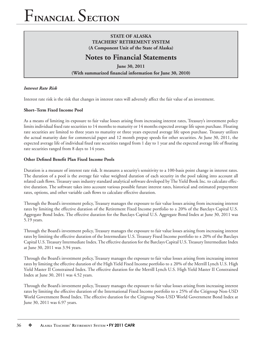## **STATE OF ALASKA TEACHERS' RETIREMENT SYSTEM (A Component Unit of the State of Alaska)**

## **Notes to Financial Statements**

**June 30, 2011** (With summarized financial information for June 30, 2010)

## *Interest Rate Risk*

Interest rate risk is the risk that changes in interest rates will adversely affect the fair value of an investment.

### **Short–Term Fixed Income Pool**

As a means of limiting its exposure to fair value losses arising from increasing interest rates, Treasury's investment policy limits individual fixed rate securities to 14 months to maturity or 14 months expected average life upon purchase. Floating rate securities are limited to three years to maturity or three years expected average life upon purchase. Treasury utilizes the actual maturity date for commercial paper and 12 month prepay speeds for other securities. At June 30, 2011, the expected average life of individual fixed rate securities ranged from 1 day to 1 year and the expected average life of floating rate securities ranged from 8 days to 14 years.

### **Other Defined Benefit Plan Fixed Income Pools**

Duration is a measure of interest rate risk. It measures a security's sensitivity to a 100-basis point change in interest rates. The duration of a pool is the average fair value weighted duration of each security in the pool taking into account all related cash flows. Treasury uses industry standard analytical software developed by The Yield Book Inc. to calculate effective duration. The software takes into account various possible future interest rates, historical and estimated prepayment rates, options, and other variable cash flows to calculate effective duration.

Through the Board's investment policy, Treasury manages the exposure to fair value losses arising from increasing interest rates by limiting the effective duration of the Retirement Fixed Income portfolio to  $\pm$  20% of the Barclays Capital U.S. Aggregate Bond Index. The effective duration for the Barclays Capital U.S. Aggregate Bond Index at June 30, 2011 was 5.19 years.

Through the Board's investment policy, Treasury manages the exposure to fair value losses arising from increasing interest rates by limiting the effective duration of the Intermediate U.S. Treasury Fixed Income portfolio to ± 20% of the Barclays Capital U.S. Treasury Intermediate Index. The effective duration for the Barclays Capital U.S. Treasury Intermediate Index at June 30, 2011 was 3.94 years.

Through the Board's investment policy, Treasury manages the exposure to fair value losses arising from increasing interest rates by limiting the effective duration of the High Yield Fixed Income portfolio to  $\pm$  20% of the Merrill Lynch U.S. High Yield Master II Constrained Index. The effective duration for the Merrill Lynch U.S. High Yield Master II Constrained Index at June 30, 2011 was 4.52 years.

Through the Board's investment policy, Treasury manages the exposure to fair value losses arising from increasing interest rates by limiting the effective duration of the International Fixed Income portfolio to  $\pm$  25% of the Citigroup Non-USD World Government Bond Index. The effective duration for the Citigroup Non-USD World Government Bond Index at June 30, 2011 was 6.97 years.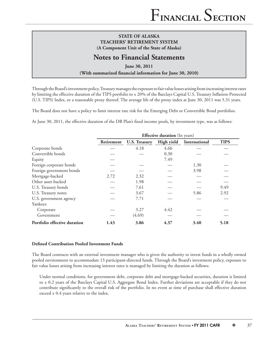## **Notes to Financial Statements**

**June 30, 2011** (With summarized financial information for June 30, 2010)

Through the Board's investment policy, Treasury manages the exposure to fair value losses arising from increasing interest rates by limiting the effective duration of the TIPS portfolio to ± 20% of the Barclays Capital U.S. Treasury Inflation-Protected (U.S. TIPS) Index, or a reasonable proxy thereof. The average life of the proxy index at June 30, 2011 was 5.31 years.

The Board does not have a policy to limit interest rate risk for the Emerging Debt or Convertible Bond portfolios.

At June 30, 2011, the effective duration of the DB Plan's fixed income pools, by investment type, was as follows:

|                              | <b>Effective duration</b> (In years) |                      |            |               |             |  |
|------------------------------|--------------------------------------|----------------------|------------|---------------|-------------|--|
|                              | Retirement                           | <b>U.S. Treasury</b> | High yield | International | <b>TIPS</b> |  |
| Corporate bonds              |                                      | 4.18                 | 4.66       |               |             |  |
| Convertible bonds            |                                      |                      | 0.30       |               |             |  |
| Equity                       |                                      |                      | 7.49       |               |             |  |
| Foreign corporate bonds      |                                      |                      |            | 1.30          |             |  |
| Foreign government bonds     |                                      |                      |            | 3.98          |             |  |
| Mortgage-backed              | 2.72                                 | 2.32                 |            |               |             |  |
| Other asset-backed           |                                      | 1.98                 |            |               |             |  |
| U.S. Treasury bonds          |                                      | 7.61                 |            |               | 9.49        |  |
| U.S. Treasury notes          |                                      | 3.67                 |            | 5.86          | 2.92        |  |
| U.S. government agency       |                                      | 7.71                 |            |               |             |  |
| Yankees:                     |                                      |                      |            |               |             |  |
| Corporate                    |                                      | 3.27                 | 4.42       |               |             |  |
| Government                   |                                      | (4.69)               |            |               |             |  |
| Portfolio effective duration | 1.43                                 | 3.86                 | 4.37       | 3.40          | 5.18        |  |

#### **Defined Contribution Pooled Investment Funds**

The Board contracts with an external investment manager who is given the authority to invest funds in a wholly owned pooled environment to accommodate 13 participant-directed funds. Through the Board's investment policy, exposure to fair value losses arising from increasing interest rates is managed by limiting the duration as follows:

Under normal conditions, for government debt, corporate debt and mortgage-backed securities, duration is limited to ± 0.2 years of the Barclays Capital U.S. Aggregate Bond Index. Further deviations are acceptable if they do not contribute significantly to the overall risk of the portfolio. In no event at time of purchase shall effective duration exceed  $\pm$  0.4 years relative to the index.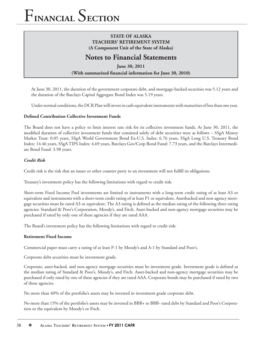## **STATE OF ALASKA TEACHERS' RETIREMENT SYSTEM (A Component Unit of the State of Alaska)**

## **Notes to Financial Statements**

**June 30, 2011** (With summarized financial information for June 30, 2010)

At June 30, 2011, the duration of the government corporate debt, and mortgage-backed securities was 5.12 years and the duration of the Barclays Capital Aggregate Bond Index was 5.19 years.

Under normal conditions, the DCR Plan will invest in cash equivalent instruments with maturities of less than one year.

## **Defined Contribution Collective Investment Funds**

The Board does not have a policy to limit interest rate risk for its collective investment funds. At June 30, 2011, the modified duration of collective investment funds that consisted solely of debt securities were as follows - SSgA Money Market Trust: 0.05 years, SSgA World Government Bond Ex-U.S. Index: 6.76 years, SSgA Long U.S. Treasury Bond Index: 14.46 years, SSgA TIPS Index: 4.69 years, Barclays Gov/Corp Bond Fund: 7.73 years, and the Barclays Intermediate Bond Fund: 3.98 years.

## *Credit Risk*

Credit risk is the risk that an issuer or other counter party to an investment will not fulfill its obligations.

Treasury's investment policy has the following limitations with regard to credit risk:

Short-term Fixed Income Pool investments are limited to instruments with a long-term credit rating of at least A3 or equivalent and instruments with a short-term credit rating of at least P1 or equivalent. Assetbacked and non-agency mortgage securities must be rated A3 or equivalent. The A3 rating is defined as the median rating of the following three rating agencies: Standard & Poor's Corporation, Moody's, and Fitch. Asset-backed and non-agency mortgage securities may be purchased if rated by only one of these agencies if they are rated AAA.

The Board's investment policy has the following limitations with regard to credit risk:

#### **Retirement Fixed Income**

Commercial paper must carry a rating of at least P-1 by Moody's and A-1 by Standard and Poor's.

Corporate debt securities must be investment grade.

Corporate, asset-backed, and non-agency mortgage securities must be investment grade. Investment grade is defined as the median rating of Standard & Poor's, Moody's, and Fitch. Asset-backed and non-agency mortgage securities may be purchased if only rated by one of these agencies if they are rated AAA. Corporate bonds may be purchased if rated by two of these agencies.

No more than 40% of the portfolio's assets may be invested in investment grade corporate debt.

No more than 15% of the portfolio's assets may be invested in BBB+ to BBB- rated debt by Standard and Poor's Corporation or the equivalent by Moody's or Fitch.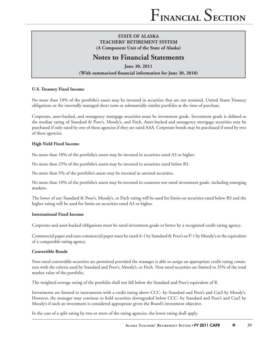## **Notes to Financial Statements**

**June 30, 2011** (With summarized financial information for June 30, 2010)

### **U.S. Treasury Fixed Income**

No more than 10% of the portfolio's assets may be invested in securities that are not nominal, United States Treasury obligations or the internally managed short term or substantially similar portfolio at the time of purchase.

Corporate, asset-backed, and nonagency mortgage securities must be investment grade. Investment grade is defined as the median rating of Standard & Poor's, Moody's, and Fitch. Asset-backed and nonagency mortgage securities may be purchased if only rated by one of these agencies if they are rated AAA. Corporate bonds may be purchased if rated by two of these agencies.

#### **High Yield Fixed Income**

No more than 10% of the portfolio's assets may be invested in securities rated A3 or higher.

No more than 25% of the portfolio's assets may be invested in securities rated below B3.

No more than 5% of the portfolio's assets may be invested in unrated securities.

No more than 10% of the portfolio's assets may be invested in countries not rated investment grade, including emerging markets.

The lower of any Standard & Poor's, Moody's, or Fitch rating will be used for limits on securities rated below B3 and the higher rating will be used for limits on securities rated A3 or higher.

#### **International Fixed Income**

Corporate and asset-backed obligations must be rated investment grade or better by a recognized credit rating agency.

Commercial paper and euro commercial paper must be rated A-1 by Standard & Poor's or P-1 by Moody's or the equivalent of a comparable rating agency.

### **Convertible Bonds**

Non-rated convertible securities are permitted provided the manager is able to assign an appropriate credit rating consistent with the criteria used by Standard and Poor's, Moody's, or Fitch. Non-rated securities are limited to 35% of the total market value of the portfolio.

The weighted average rating of the portfolio shall not fall below the Standard and Poor's equivalent of B.

Investments are limited to instruments with a credit rating above CCC- by Standard and Poor's and Caa3 by Moody's. However, the manager may continue to hold securities downgraded below CCC- by Standard and Poor's and Caa3 by Moody's if such an investment is considered appropriate given the Board's investment objective.

In the case of a split rating by two or more of the rating agencies, the lower rating shall apply.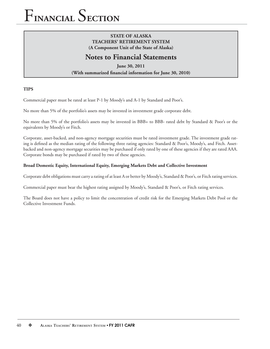## **STATE OF ALASKA TEACHERS' RETIREMENT SYSTEM (A Component Unit of the State of Alaska)**

## **Notes to Financial Statements**

**June 30, 2011 (With summarized financial information for June 30, 2010)** 

## **TIPS**

Commercial paper must be rated at least P-1 by Moody's and A-1 by Standard and Poor's.

No more than 5% of the portfolio's assets may be invested in investment grade corporate debt.

No more than 5% of the portfolio's assets may be invested in BBB+ to BBB- rated debt by Standard & Poor's or the equivalents by Moody's or Fitch.

Corporate, asset-backed, and non-agency mortgage securities must be rated investment grade. The investment grade rating is defined as the median rating of the following three rating agencies: Standard & Poor's, Moody's, and Fitch. Assetbacked and non-agency mortgage securities may be purchased if only rated by one of these agencies if they are rated AAA. Corporate bonds may be purchased if rated by two of these agencies.

## **Broad Domestic Equity, International Equity, Emerging Markets Debt and Collective Investment**

Corporate debt obligations must carry a rating of at least A or better by Moody's, Standard & Poor's, or Fitch rating services.

Commercial paper must bear the highest rating assigned by Moody's, Standard & Poor's, or Fitch rating services.

The Board does not have a policy to limit the concentration of credit risk for the Emerging Markets Debt Pool or the Collective Investment Funds.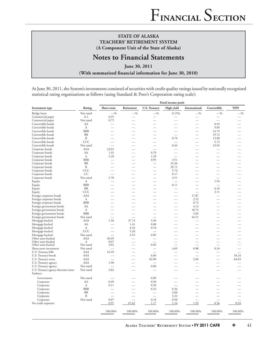## **Notes to Financial Statements**

**June 30, 2011** (With summarized financial information for June 30, 2010)

At June 30, 2011, the System's investments consisted of securities with credit quality ratings issued by nationally recognized statistical rating organizations as follows (using Standard & Poor's Corporation rating scale):

|                                     |              | <b>Fixed income pools</b> |                          |                          |                          |                          |                          |                          |
|-------------------------------------|--------------|---------------------------|--------------------------|--------------------------|--------------------------|--------------------------|--------------------------|--------------------------|
| Investment type                     | Rating       | Short-term                | Retirement               | <b>U.S. Treasury</b>     | High yield               | International            | Convertible              | <b>TIPS</b>              |
| Bridge loans                        | Not rated    | $-$ %                     | $-$ %                    | $-$ %                    | 0.15%                    | $-$ %                    | $-$ %                    | $-$ %                    |
| Commercial paper                    | $A-1$        | 6.95                      |                          |                          |                          |                          |                          |                          |
| Commercial paper                    | Not rated    | 0.75                      |                          |                          |                          |                          | $\overline{\phantom{a}}$ |                          |
| Convertible bonds                   | AA           |                           |                          |                          |                          |                          | 0.93                     |                          |
| Convertible bonds                   | A            |                           |                          |                          |                          | $\overline{\phantom{a}}$ | 9.89                     |                          |
| Convertible bonds                   | <b>BBB</b>   |                           |                          |                          |                          | $\overline{\phantom{a}}$ | 14.79                    |                          |
| Convertible bonds                   | <b>BB</b>    |                           |                          |                          |                          |                          | 19.72                    |                          |
| Convertible bonds                   | $\mathbf{B}$ |                           |                          |                          | 0.76                     | $\overline{\phantom{a}}$ | 13.80                    |                          |
| Convertible bonds                   | CCC          |                           | $\overline{\phantom{a}}$ |                          | $\overline{\phantom{0}}$ | $\overline{\phantom{0}}$ | 5.73                     |                          |
| Convertible bonds                   | Not rated    | $\overline{\phantom{a}}$  |                          |                          | 0.44                     | $\overline{\phantom{a}}$ | 23.03                    |                          |
| Corporate bonds                     | AAA          | 23.65                     | $\overline{\phantom{a}}$ |                          |                          | $\overline{\phantom{a}}$ | $\overline{\phantom{0}}$ |                          |
| Corporate bonds                     | AA           | 1.45                      | $\overline{\phantom{a}}$ | 0.70                     | $\overline{\phantom{a}}$ |                          | $\overline{\phantom{a}}$ |                          |
| Corporate bonds                     | A            | 3.20                      | $\overline{\phantom{0}}$ | 1.39                     |                          | $\overline{\phantom{a}}$ |                          |                          |
| Corporate bonds                     | <b>BBB</b>   |                           |                          | 0.95                     | 3.51                     |                          |                          |                          |
| Corporate bonds                     | <b>BB</b>    |                           |                          | -                        | 33.36                    |                          |                          |                          |
| Corporate bonds                     | $\, {\bf B}$ |                           | $\overline{\phantom{a}}$ | $\overline{\phantom{a}}$ | 39.72                    | $\overline{\phantom{a}}$ | $\overline{\phantom{a}}$ |                          |
| Corporate bonds                     | CCC          |                           |                          |                          | 5.74                     |                          |                          |                          |
| Corporate bonds                     | CC           | $\overline{\phantom{a}}$  |                          | $\overline{\phantom{0}}$ | 0.17                     | $\overline{\phantom{0}}$ | $\overline{\phantom{0}}$ |                          |
| Corporate bonds                     | Not rated    | 5.78                      |                          | -                        | 3.51                     | $\overline{\phantom{0}}$ |                          |                          |
| Equity                              | А            |                           |                          |                          |                          | $\overline{\phantom{a}}$ | 1.94                     |                          |
| Equity                              | <b>BBB</b>   |                           |                          |                          | 0.11                     |                          | $\overline{\phantom{0}}$ |                          |
| Equity                              | <b>BB</b>    |                           | $\overline{\phantom{0}}$ |                          |                          | $\overline{\phantom{0}}$ | 6.16                     |                          |
| Equity                              | CCC          |                           |                          |                          |                          | $\overline{\phantom{0}}$ | 3.11                     |                          |
| Foreign corporate bonds             | AAA          |                           |                          |                          |                          | 17.87                    |                          |                          |
| Foreign corporate bonds             | A            |                           |                          |                          |                          | 2.52                     |                          |                          |
| Foreign corporate bonds             | <b>BBB</b>   |                           | $\overline{\phantom{0}}$ | $\overline{\phantom{0}}$ | $\overline{\phantom{0}}$ | 0.74                     | $\overline{\phantom{0}}$ |                          |
| Foreign government bonds            | AA           |                           |                          |                          |                          | 4.12                     |                          |                          |
| Foreign government bonds            | A            |                           |                          |                          |                          | 18.74                    |                          |                          |
| Foreign government bonds            | <b>BBB</b>   |                           |                          |                          |                          | 5.85                     |                          |                          |
| Foreign government bonds            | Not rated    | $\overline{\phantom{0}}$  | $\overline{\phantom{0}}$ | $\overline{\phantom{0}}$ |                          | 44.51                    |                          |                          |
| Mortgage-backed                     | <b>AAA</b>   | 1.58                      | 37.74                    | 3.56                     |                          |                          |                          |                          |
| Mortgage-backed                     | AA           |                           | 1.41                     | 0.08                     |                          |                          |                          |                          |
| Mortgage-backed                     | A            |                           | 4.42                     | 0.10                     |                          |                          |                          |                          |
| Mortgage-backed                     | CCC          | $\overline{\phantom{0}}$  | 5.26                     |                          |                          |                          |                          |                          |
| Mortgage-backed                     | Not rated    |                           | 3.55                     | 0.85                     |                          |                          |                          |                          |
| Other asset-backed                  | AAA          | 30.49                     |                          |                          |                          |                          |                          |                          |
| Other asset-backed                  | А            | 0.07                      |                          |                          |                          |                          |                          |                          |
| Other asset-backed                  | Not rated    | 3.62                      |                          | 0.02                     |                          | $\overline{\phantom{0}}$ |                          |                          |
| Short-term investment               | Not rated    | $\overline{\phantom{a}}$  |                          | $\overline{\phantom{0}}$ | 4.69                     | 0.88                     | 0.34                     |                          |
| U.S. Treasury bills                 | AAA          | 16.10                     |                          | $\overline{\phantom{0}}$ |                          | $\sim$                   |                          | $\overline{\phantom{a}}$ |
| U.S. Treasury bonds                 | AAA          |                           |                          | 6.84                     |                          |                          |                          | 34.24                    |
| U.S. Treasury notes                 | AAA          |                           | $\overline{\phantom{a}}$ | 82.00                    |                          | 2.84                     |                          | 64.83                    |
| U.S. Treasury agency                | AAA          | 1.90                      |                          |                          |                          |                          |                          |                          |
| U.S. Treasury agency                | Not rated    | $\overline{\phantom{a}}$  | $\overline{\phantom{0}}$ | 0.80                     | $\overline{\phantom{0}}$ | $\overline{\phantom{0}}$ |                          |                          |
| U.S. Treasury agency discount notes | Not rated    | 2.82                      |                          |                          |                          |                          |                          |                          |
| Yankees:                            |              |                           |                          |                          |                          |                          |                          |                          |
| Government                          | Not rated    |                           |                          | 0.09                     |                          |                          |                          |                          |
| Corporate                           | AA           | 0.49                      |                          | 0.56                     |                          |                          |                          |                          |
| Corporate                           | A            | 0.11                      |                          | 0.50                     |                          |                          |                          |                          |
| Corporate                           | <b>BBB</b>   | $\overline{\phantom{0}}$  | $\overline{\phantom{a}}$ | 0.23                     | 0.36                     |                          |                          |                          |
| Corporate                           | <b>BB</b>    |                           |                          | $\overline{\phantom{0}}$ | 2.60                     |                          |                          |                          |
| Corporate                           | B            |                           |                          | $\overline{\phantom{a}}$ | 3.22                     |                          |                          |                          |
| Corporate                           | Not rated    | 0.07                      | $\overline{\phantom{a}}$ | 0.16                     | 0.50                     | $\overline{\phantom{a}}$ |                          |                          |
| No credit exposure                  |              | 0.97                      | 47.62                    | 1.17                     | 1.16                     | 1.93                     | 0.56                     | 0.93                     |
|                                     |              | 100.00%                   | 100.00%                  | 100.00%                  | 100.00%                  | 100.00%                  | 100.00%                  | 100.00%                  |
|                                     |              |                           |                          |                          |                          |                          |                          |                          |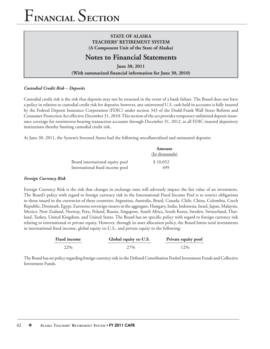## **STATE OF ALASKA TEACHERS' RETIREMENT SYSTEM (A Component Unit of the State of Alaska)**

## **Notes to Financial Statements**

**June 30, 2011** (With summarized financial information for June 30, 2010)

## *Custodial Credit Risk – Deposits*

Custodial credit risk is the risk that deposits may not be returned in the event of a bank failure. The Board does not have a policy in relation to custodial credit risk for deposits; however, any uninvested U.S. cash held in accounts is fully insured by the Federal Deposit Insurance Corporation (FDIC) under section 343 of the Dodd-Frank Wall Street Reform and Consumer Protection Act effective December 31, 2010. This section of the act provides temporary unlimited deposit insurance coverage for noninterest-bearing transaction accounts through December 31, 2012, at all FDIC-insured depository institutions thereby limiting custodial credit risk.

At June 30, 2011, the System's Invested Assets had the following uncollateralized and uninsured deposits:

|                                 | Amount         |
|---------------------------------|----------------|
|                                 | (In thousands) |
| Board international equity pool | \$10,052       |
| International fixed income pool | 499            |

## *Foreign Currency Risk*

Foreign Currency Risk is the risk that changes in exchange rates will adversely impact the fair value of an investment. The Board's policy with regard to foreign currency risk in the International Fixed Income Pool is to restrict obligations to those issued in the currencies of these countries: Argentina, Australia, Brazil, Canada, Chile, China, Colombia, Czech Republic, Denmark, Egypt, Eurozone sovereign issuers in the aggregate, Hungary, India, Indonesia, Israel, Japan, Malaysia, Mexico, New Zealand, Norway, Peru, Poland, Russia, Singapore, South Africa, South Korea, Sweden, Switzerland, Thailand, Turkey, United Kingdom, and United States. The Board has no specific policy with regard to foreign currency risk relating to international or private equity. However, through its asset allocation policy, the Board limits total investments in international fixed income, global equity ex-U.S., and private equity to the following:

| <b>Fixed income</b> | Global equity ex-U.S. | Private equity pool |
|---------------------|-----------------------|---------------------|
| 22%                 | 27%                   | 12%                 |

The Board has no policy regarding foreign currency risk in the Defined Contribution Pooled Investment Funds and Collective Investment Funds.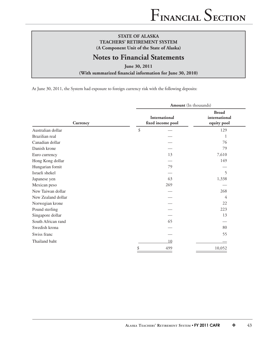## **Notes to Financial Statements**

**June 30, 2011**

(With summarized financial information for June 30, 2010)

At June 30, 2011, the System had exposure to foreign currency risk with the following deposits:

|                    |                                    | <b>Amount</b> (In thousands)                 |  |  |  |
|--------------------|------------------------------------|----------------------------------------------|--|--|--|
| Currency           | International<br>fixed income pool | <b>Broad</b><br>international<br>equity pool |  |  |  |
| Australian dollar  | $\boldsymbol{\mathcal{S}}$         | 129                                          |  |  |  |
| Brazilian real     |                                    | 1                                            |  |  |  |
| Canadian dollar    |                                    | 76                                           |  |  |  |
| Danish krone       |                                    | 79                                           |  |  |  |
| Euro currency      | 13                                 | 7,610                                        |  |  |  |
| Hong Kong dollar   |                                    | 149                                          |  |  |  |
| Hungarian fornit   | 79                                 |                                              |  |  |  |
| Israeli shekel     |                                    | 5                                            |  |  |  |
| Japanese yen       | 63                                 | 1,338                                        |  |  |  |
| Mexican peso       | 269                                |                                              |  |  |  |
| New Taiwan dollar  |                                    | 268                                          |  |  |  |
| New Zealand dollar |                                    | 4                                            |  |  |  |
| Norwegian krone    |                                    | 22                                           |  |  |  |
| Pound sterling     |                                    | 223                                          |  |  |  |
| Singapore dollar   |                                    | 13                                           |  |  |  |
| South African rand | 65                                 |                                              |  |  |  |
| Swedish krona      |                                    | 80                                           |  |  |  |
| Swiss franc        |                                    | 55                                           |  |  |  |
| Thailand baht      | 10                                 |                                              |  |  |  |
|                    | \$<br>499                          | 10,052                                       |  |  |  |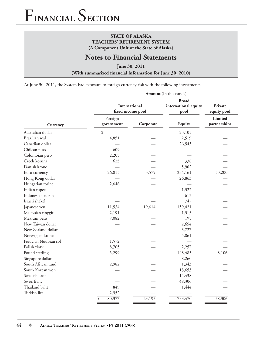## **STATE OF ALASKA TEACHERS' RETIREMENT SYSTEM (A Component Unit of the State of Alaska)**

## **Notes to Financial Statements**

**June 30, 2011**

(With summarized financial information for June 30, 2010)

At June 30, 2011, the System had exposure to foreign currency risk with the following investments:

| <b>Amount</b> (In thousands) |                           |                                    |                                              |                         |  |  |
|------------------------------|---------------------------|------------------------------------|----------------------------------------------|-------------------------|--|--|
|                              |                           | International<br>fixed income pool | <b>Broad</b><br>international equity<br>pool | Private<br>equity pool  |  |  |
| Currency                     | Foreign<br>government     | Corporate                          | Equity                                       | Limited<br>partnerships |  |  |
| Australian dollar            | \$                        |                                    | 23,105                                       |                         |  |  |
| Brazilian real               | 4,851                     |                                    | 2,519                                        |                         |  |  |
| Canadian dollar              |                           |                                    | 26,543                                       |                         |  |  |
| Chilean peso                 | 609                       |                                    |                                              |                         |  |  |
| Colombian peso               | 2,205                     |                                    |                                              |                         |  |  |
| Czech koruna                 | 625                       |                                    | 338                                          |                         |  |  |
| Danish krone                 |                           |                                    | 5,902                                        |                         |  |  |
| Euro currency                | 26,815                    | 3,579                              | 234,161                                      | 50,200                  |  |  |
| Hong Kong dollar             |                           |                                    | 26,863                                       |                         |  |  |
| Hungarian forint             | 2,646                     |                                    |                                              |                         |  |  |
| Indian rupee                 |                           |                                    | 1,322                                        |                         |  |  |
| Indonesian rupah             |                           |                                    | 613                                          |                         |  |  |
| Israeli shekel               |                           |                                    | 747                                          |                         |  |  |
| Japanese yen                 | 11,534                    | 19,614                             | 159,421                                      |                         |  |  |
| Malaysian ringgit            | 2,191                     |                                    | 1,315                                        |                         |  |  |
| Mexican peso                 | 7,082                     |                                    | 195                                          |                         |  |  |
| New Taiwan dollar            |                           |                                    | 2,654                                        |                         |  |  |
| New Zealand dollar           |                           |                                    | 3,727                                        |                         |  |  |
| Norwegian krone              |                           |                                    | 5,861                                        |                         |  |  |
| Peruvian Nouveau sol         | 1,572                     |                                    |                                              |                         |  |  |
| Polish zloty                 | 8,765                     |                                    | 2,257                                        |                         |  |  |
| Pound sterling               | 5,299                     |                                    | 148,483                                      | 8,106                   |  |  |
| Singapore dollar             |                           |                                    | 8,260                                        |                         |  |  |
| South African rand           | 2,982                     |                                    | 1,343                                        |                         |  |  |
| South Korean won             |                           |                                    | 13,653                                       |                         |  |  |
| Swedish krona                |                           |                                    | 14,438                                       |                         |  |  |
| Swiss franc                  |                           |                                    | 48,306                                       |                         |  |  |
| Thailand baht                | 849                       |                                    | 1,444                                        |                         |  |  |
| Turkish lira                 | 2,352                     |                                    |                                              |                         |  |  |
|                              | $\overline{\$}$<br>80,377 | 23,193                             | 733,470                                      | 58,306                  |  |  |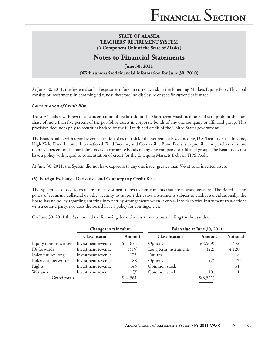## **Notes to Financial Statements**

**June 30, 2011** (With summarized financial information for June 30, 2010)

At June 30, 2011, the System also had exposure to foreign currency risk in the Emerging Markets Equity Pool. This pool consists of investments in commingled funds; therefore, no disclosure of specific currencies is made.

## *Concentration of Credit Risk*

Treasury's policy with regard to concentration of credit risk for the Short-term Fixed Income Pool is to prohibit the purchase of more than five percent of the portfolio's assets in corporate bonds of any one company or affiliated group. This provision does not apply to securities backed by the full faith and credit of the United States government.

The Board's policy with regard to concentration of credit risk for the Retirement Fixed Income, U.S. Treasury Fixed Income, High Yield Fixed Income, International Fixed Income, and Convertible Bond Pools is to prohibit the purchase of more than five percent of the portfolio's assets in corporate bonds of any one company or affiliated group. The Board does not have a policy with regard to concentration of credit for the Emerging Markets Debt or TIPS Pools.

At June 30, 2011, the System did not have exposure to any one issuer greater than 5% of total invested assets.

### **(5) Foreign Exchange, Derivative, and Counterparty Credit Risk**

The System is exposed to credit risk on investment derivative instruments that are in asset positions. The Board has no policy of requiring collateral or other security to support derivative instruments subject to credit risk. Additionally, the Board has no policy regarding entering into netting arrangements when it enters into derivative instrument transactions with a counterparty, nor does the Board have a policy for contingencies.

On June 30, 2011 the System had the following derivative instruments outstanding (in thousands):

|                        | Changes in fair value |         | Fair value at June 30, 2011 |           |                 |  |
|------------------------|-----------------------|---------|-----------------------------|-----------|-----------------|--|
|                        | Classification        | Amount  | Classification              | Amount    | <b>Notional</b> |  |
| Equity options written | Investment revenue    | 675     | Options                     | \$(8,509) | (1, 452)        |  |
| FX forwards            | Investment revenue    | (515)   | Long term instruments       | (22)      | 4,120           |  |
| Index futures long     | Investment revenue    | 4,175   | <b>Futures</b>              |           | 18              |  |
| Index options written  | Investment revenue    | 88      | Options                     |           | (2)             |  |
| Rights                 | Investment revenue    | 145     | Common stock                |           | 31              |  |
| Warrants               | Investment revenue    |         | Common stock                | 10        | 11              |  |
| Grand totals           |                       | \$4,561 |                             | \$(8,521) |                 |  |
|                        |                       |         |                             |           |                 |  |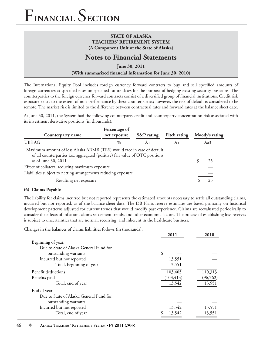## **STATE OF ALASKA TEACHERS' RETIREMENT SYSTEM (A Component Unit of the State of Alaska)**

## **Notes to Financial Statements**

**June 30, 2011**

## (With summarized financial information for June 30, 2010)

The International Equity Pool includes foreign currency forward contracts to buy and sell specified amounts of foreign currencies at specified rates on specified future dates for the purpose of hedging existing security positions. The counterparties to the foreign currency forward contracts consist of a diversified group of financial institutions. Credit risk exposure exists to the extent of non-performance by these counterparties; however, the risk of default is considered to be remote. The market risk is limited to the difference between contractual rates and forward rates at the balance sheet date.

At June 30, 2011, the System had the following counterparty credit and counterparty concentration risk associated with its investment derivative positions (in thousands):

| Counterparty name                                                                                                                                                              | Percentage of<br>net exposure | S&P rating | <b>Fitch rating</b> | Moody's rating |
|--------------------------------------------------------------------------------------------------------------------------------------------------------------------------------|-------------------------------|------------|---------------------|----------------|
| <b>UBS AG</b>                                                                                                                                                                  | $-$ %                         | $A+$       | $A+$                | Aa3            |
| Maximum amount of loss Alaska ARMB (TRS) would face in case of default<br>of all counterparties i.e., aggregated (positive) fair value of OTC positions<br>as of June 30, 2011 |                               |            |                     | 25             |
| Effect of collateral reducing maximum exposure                                                                                                                                 |                               |            |                     |                |
| Liabilities subject to netting arrangements reducing exposure                                                                                                                  |                               |            |                     |                |
| Resulting net exposure                                                                                                                                                         |                               |            |                     |                |

### **(6) Claims Payable**

The liability for claims incurred but not reported represents the estimated amounts necessary to settle all outstanding claims, incurred but not reported, as of the balance sheet date. The DB Plan's reserve estimates are based primarily on historical development patterns adjusted for current trends that would modify past experience. Claims are reevaluated periodically to consider the effects of inflation, claims settlement trends, and other economic factors. The process of establishing loss reserves is subject to uncertainties that are normal, recurring, and inherent in the healthcare business.

Changes in the balances of claims liabilities follows (in thousands):

|                                         | 2011       | 2010      |
|-----------------------------------------|------------|-----------|
| Beginning of year:                      |            |           |
| Due to State of Alaska General Fund for |            |           |
| outstanding warrants                    | \$         |           |
| Incurred but not reported               | 13,551     |           |
| Total, beginning of year                | 13,551     |           |
| Benefit deductions                      | 103,405    | 110,313   |
| Benefits paid                           | (103, 414) | (96, 762) |
| Total, end of year                      | 13,542     | 13,551    |
| End of year:                            |            |           |
| Due to State of Alaska General Fund for |            |           |
| outstanding warrants                    |            |           |
| Incurred but not reported               | 13,542     | 13,551    |
| Total, end of year                      | 13,542     | 13,551    |
|                                         |            |           |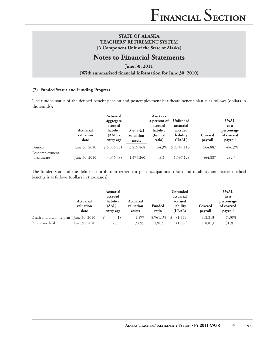## **Notes to Financial Statements**

**June 30, 2011**

(With summarized financial information for June 30, 2010)

#### **(7) Funded Status and Funding Progress**

The funded status of the defined benefit pension and postemployment healthcare benefit plan is as follows (dollars in thousands):

|                               | <b>Actuarial</b><br>valuation<br>date | Actuarial<br>aggregate<br>accrued<br>liability<br>$(AAL)$ -<br>entry age | <b>Actuarial</b><br>valuation<br>assets | Assets as<br>a percent of<br>accrued<br>liability<br>(funded)<br>ratio) | Unfunded<br>actuarial<br>accrued<br>liability<br>(UAAL) | Covered<br>payroll | <b>UAAL</b><br>as a<br>percentage<br>of covered<br>payroll |
|-------------------------------|---------------------------------------|--------------------------------------------------------------------------|-----------------------------------------|-------------------------------------------------------------------------|---------------------------------------------------------|--------------------|------------------------------------------------------------|
| Pension                       | June 30, 2010                         | \$6,006,981                                                              | 3,259,868                               |                                                                         | 54.3% \$2,747,113                                       | 564,887            | 486.3%                                                     |
| Post employment<br>healthcare | June 30, 2010                         | 3,076,388                                                                | 1,479,260                               | 48.1                                                                    | 1,597,128                                               | 564,887            | 282.7                                                      |

The funded status of the defined contribution retirement plan occupational death and disability and retiree medical benefits is as follows (dollars in thousands):

|                                         |                                       |         | <b>Actuarial</b>                    |                                         |                        |   | <b>Unfunded</b>                |                    | <b>UAAL</b>                         |
|-----------------------------------------|---------------------------------------|---------|-------------------------------------|-----------------------------------------|------------------------|---|--------------------------------|--------------------|-------------------------------------|
|                                         |                                       | accrued |                                     |                                         | actuarial              |   |                                | as a               |                                     |
|                                         | <b>Actuarial</b><br>valuation<br>date |         | liability<br>$(AAL)$ -<br>entry age | <b>Actuarial</b><br>valuation<br>assets | <b>Funded</b><br>ratio |   | accrued<br>liability<br>(UAAL) | Covered<br>payroll | percentage<br>of covered<br>payroll |
| Death and disability plan June 30, 2010 |                                       | \$      | 18                                  | 1,577                                   | 8,761.1%               | S | (1,559)                        | 118,813            | $(1.3)\%$                           |
| Retiree medical                         | June 30, 2010                         |         | 2,809                               | 3,895                                   | 138.7                  |   | (1,086)                        | 118,813            | (0.9)                               |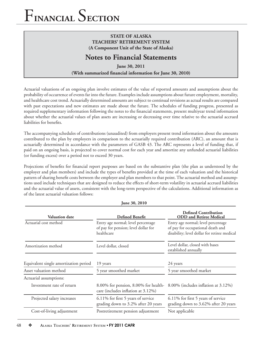## **STATE OF ALASKA TEACHERS' RETIREMENT SYSTEM (A Component Unit of the State of Alaska)**

## **Notes to Financial Statements**

**June 30, 2011** (With summarized financial information for June 30, 2010)

Actuarial valuations of an ongoing plan involve estimates of the value of reported amounts and assumptions about the probability of occurrence of events far into the future. Examples include assumptions about future employment, mortality, and healthcare cost trend. Actuarially determined amounts are subject to continual revisions as actual results are compared with past expectations and new estimates are made about the future. The schedules of funding progress, presented as required supplementary information following the notes to the financial statements, present multiyear trend information about whether the actuarial values of plan assets are increasing or decreasing over time relative to the actuarial accrued liabilities for benefits.

The accompanying schedules of contributions (unaudited) from employers present trend information about the amounts contributed to the plan by employers in comparison to the actuarially required contribution (ARC), an amount that is actuarially determined in accordance with the parameters of GASB 43. The ARC represents a level of funding that, if paid on an ongoing basis, is projected to cover normal cost for each year and amortize any unfunded actuarial liabilities (or funding excess) over a period not to exceed 30 years.

Projections of benefits for financial report purposes are based on the substantive plan (the plan as understood by the employer and plan members) and include the types of benefits provided at the time of each valuation and the historical pattern of sharing benefit costs between the employer and plan members to that point. The actuarial method and assumptions used include techniques that are designed to reduce the effects of short-term volatility in actuarial accrued liabilities and the actuarial value of assets, consistent with the long-term perspective of the calculations. Additional information as of the latest actuarial valuation follows:

| <b>Valuation date</b>                 | <b>Defined Benefit</b>                                                                   | <b>Defined Contribution</b><br><b>ODD</b> and Retiree Medical                                                           |
|---------------------------------------|------------------------------------------------------------------------------------------|-------------------------------------------------------------------------------------------------------------------------|
| Actuarial cost method                 | Entry age normal; level percentage<br>of pay for pension; level dollar for<br>healthcare | Entry age normal; level percentage<br>of pay for occupational death and<br>disability; level dollar for retiree medical |
| Amortization method                   | Level dollar, closed                                                                     | Level dollar, closed with bases<br>established annually                                                                 |
| Equivalent single amortization period | 19 years                                                                                 | 24 years                                                                                                                |
| Asset valuation method                | 5 year smoothed market                                                                   | 5 year smoothed market                                                                                                  |
| Actuarial assumptions:                |                                                                                          |                                                                                                                         |
| Investment rate of return             | 8.00% for pension, 8.00% for health-<br>care (includes inflation at 3.12%)               | 8.00% (includes inflation at 3.12%)                                                                                     |
| Projected salary increases            | 6.11% for first 5 years of service<br>grading down to 3.2% after 20 years                | 6.11% for first 5 years of service<br>grading down to 3.62% after 20 years                                              |
| Cost-of-living adjustment             | Postretirement pension adjustment                                                        | Not applicable                                                                                                          |

 **June 30, 2010**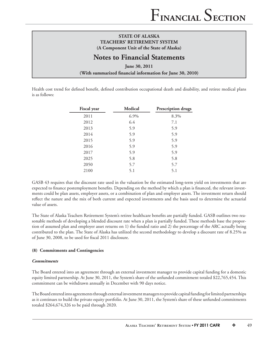## **Notes to Financial Statements**

**June 30, 2011** (With summarized financial information for June 30, 2010)

Health cost trend for defined benefit, defined contribution occupational death and disability, and retiree medical plans is as follows:

| <b>Fiscal</b> year | <b>Medical</b> | Prescription drugs |
|--------------------|----------------|--------------------|
| 2011               | 6.9%           | 8.3%               |
| 2012               | 6.4            | 7.1                |
| 2013               | 5.9            | 5.9                |
| 2014               | 5.9            | 5.9                |
| 2015               | 5.9            | 5.9                |
| 2016               | 5.9            | 5.9                |
| 2017               | 5.9            | 5.9                |
| 2025               | 5.8            | 5.8                |
| 2050               | 5.7            | 5.7                |
| 2100               | 5.1            | 5.1                |

GASB 43 requires that the discount rate used in the valuation be the estimated long-term yield on investments that are expected to finance postemployment benefits. Depending on the method by which a plan is financed, the relevant investments could be plan assets, employer assets, or a combination of plan and employer assets. The investment return should reflect the nature and the mix of both current and expected investments and the basis used to determine the actuarial value of assets.

The State of Alaska Teachers Retirement System's retiree healthcare benefits are partially funded. GASB outlines two reasonable methods of developing a blended discount rate when a plan is partially funded. These methods base the proportion of assumed plan and employer asset returns on 1) the funded ratio and 2) the percentage of the ARC actually being contributed to the plan. The State of Alaska has utilized the second methodology to develop a discount rate of 8.25% as of June 30, 2008, to be used for fiscal 2011 disclosure.

### **(8) Commitments and Contingencies**

#### *Commitments*

The Board entered into an agreement through an external investment manager to provide capital funding for a domestic equity limited partnership. At June 30, 2011, the System's share of the unfunded commitment totaled \$22,765,454. This commitment can be withdrawn annually in December with 90 days notice.

The Board entered into agreements through external investment managers to provide capital funding for limited partnerships as it continues to build the private equity portfolio. At June 30, 2011, the System's share of these unfunded commitments totaled \$264,674,326 to be paid through 2020.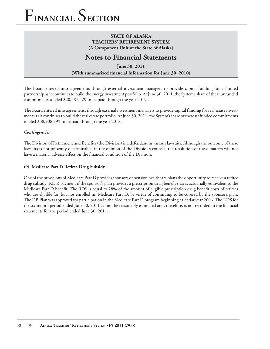## **STATE OF ALASKA TEACHERS' RETIREMENT SYSTEM (A Component Unit of the State of Alaska)**

## **Notes to Financial Statements**

**June 30, 2011** (With summarized financial information for June 30, 2010)

The Board entered into agreements through external investment managers to provide capital funding for a limited partnership as it continues to build the energy investment portfolio. At June 30, 2011, the System's share of these unfunded commitments totaled \$20,587,529 to be paid through the year 2019.

The Board entered into agreements through external investment managers to provide capital funding for real estate investments as it continues to build the real estate portfolio. At June 30, 2011, the System's share of these unfunded commitments totaled \$38,908,793 to be paid through the year 2018.

## *Contingencies*

The Division of Retirement and Benefits (the Division) is a defendant in various lawsuits. Although the outcome of these lawsuits is not presently determinable, in the opinion of the Division's counsel, the resolution of these matters will not have a material adverse effect on the financial condition of the Division.

## **(9) Medicare Part D Retiree Drug Subsidy**

One of the provisions of Medicare Part D provides sponsors of pension healthcare plans the opportunity to receive a retiree drug subsidy (RDS) payment if the sponsor's plan provides a prescription drug benefi t that is actuarially equivalent to the Medicare Part D benefit. The RDS is equal to 28% of the amount of eligible prescription drug benefit costs of retirees who are eligible for, but not enrolled in, Medicare Part D, by virtue of continuing to be covered by the sponsor's plan. The DB Plan was approved for participation in the Medicare Part D program beginning calendar year 2006. The RDS for the six-month period ended June 30, 2011 cannot be reasonably estimated and, therefore, is not recorded in the financial statements for the period ended June 30, 2011.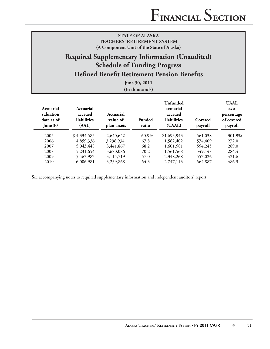## **Required Supplementary Information (Unaudited) Schedule of Funding Progress Defined Benefit Retirement Pension Benefits**

**June 30, 2011 (In thousands)**

| Actuarial<br>valuation<br>date as of<br>June $30$ | Actuarial<br>accrued<br><b>liabilities</b><br>(AAL) | Actuarial<br>value of<br>plan assets | <b>Funded</b><br>ratio | Unfunded<br>actuarial<br>accrued<br><b>liabilities</b><br>(UAAL) | Covered<br>payroll | <b>UAAL</b><br>as a<br>percentage<br>of covered<br>payroll |
|---------------------------------------------------|-----------------------------------------------------|--------------------------------------|------------------------|------------------------------------------------------------------|--------------------|------------------------------------------------------------|
| 2005                                              | \$4,334,585                                         | 2,640,642                            | 60.9%                  | \$1,693,943                                                      | 561,038            | 301.9%                                                     |
| 2006                                              | 4,859,336                                           | 3,296,934                            | 67.8                   | 1,562,402                                                        | 574,409            | 272.0                                                      |
| 2007                                              | 5,043,448                                           | 3,441,867                            | 68.2                   | 1,601,581                                                        | 554,245            | 289.0                                                      |
| 2008                                              | 5,231,654                                           | 3,670,086                            | 70.2                   | 1,561,568                                                        | 549,148            | 284.4                                                      |
| 2009                                              | 5,463,987                                           | 3,115,719                            | 57.0                   | 2,348,268                                                        | 557,026            | 421.6                                                      |
| 2010                                              | 6,006,981                                           | 3,259,868                            | 54.3                   | 2,747,113                                                        | 564,887            | 486.3                                                      |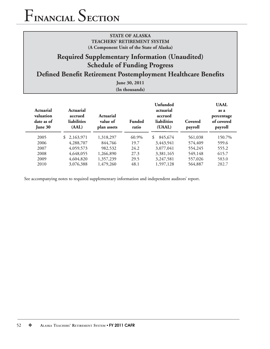## **Required Supplementary Information (Unaudited) Schedule of Funding Progress**

## **Defined Benefit Retirement Postemployment Healthcare Benefits**

**June 30, 2011 (In thousands)**

| Actuarial<br>valuation<br>date as of<br>June 30 | Actuarial<br>accrued<br>liabilities<br>(AAL) | Actuarial<br>value of<br>plan assets | <b>Funded</b><br>ratio | Unfunded<br>actuarial<br>accrued<br>liabilities<br>(UAAL) | Covered<br>payroll | <b>UAAL</b><br>as a<br>percentage<br>of covered<br>payroll |
|-------------------------------------------------|----------------------------------------------|--------------------------------------|------------------------|-----------------------------------------------------------|--------------------|------------------------------------------------------------|
| 2005                                            | \$2,163,971                                  | 1,318,297                            | 60.9%                  | 845,674<br>\$                                             | 561,038            | 150.7%                                                     |
| 2006                                            | 4,288,707                                    | 844,766                              | 19.7                   | 3,443,941                                                 | 574,409            | 599.6                                                      |
| 2007                                            | 4,059,573                                    | 982,532                              | 24.2                   | 3,077,041                                                 | 554,245            | 555.2                                                      |
| 2008                                            | 4,648,055                                    | 1,266,890                            | 27.3                   | 3,381,165                                                 | 549,148            | 615.7                                                      |
| 2009                                            | 4,604,820                                    | 1,357,239                            | 29.5                   | 3,247,581                                                 | 557,026            | 583.0                                                      |
| 2010                                            | 3,076,388                                    | 1,479,260                            | 48.1                   | 1,597,128                                                 | 564,887            | 282.7                                                      |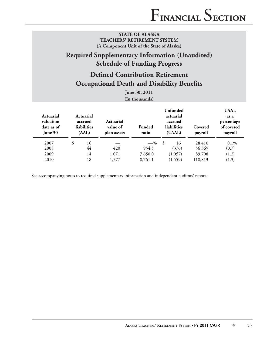## **Required Supplementary Information (Unaudited) Schedule of Funding Progress**

## **Defined Contribution Retirement Occupational Death and Disability Benefits**

**June 30, 2011**

|                                                        |                                              |                                             | $\mu$ and $\mu$ , $\mu$ and $\mu$<br>(In thousands) |               |                                                           |                    |                                                            |
|--------------------------------------------------------|----------------------------------------------|---------------------------------------------|-----------------------------------------------------|---------------|-----------------------------------------------------------|--------------------|------------------------------------------------------------|
| <b>Actuarial</b><br>valuation<br>date as of<br>June 30 | Actuarial<br>accrued<br>liabilities<br>(AAL) | <b>Actuarial</b><br>value of<br>plan assets | Funded<br>ratio                                     |               | Unfunded<br>actuarial<br>accrued<br>liabilities<br>(UAAL) | Covered<br>payroll | <b>UAAL</b><br>as a<br>percentage<br>of covered<br>payroll |
| 2007                                                   | \$<br>16                                     |                                             | $-$ %                                               | $\mathcal{S}$ | 16                                                        | 28,410             | $0.1\%$                                                    |
| 2008                                                   | 44                                           | 420                                         | 954.5                                               |               | (376)                                                     | 56,369             | (0.7)                                                      |
| 2009                                                   | 14                                           | 1,071                                       | 7,650.0                                             |               | (1,057)                                                   | 89,708             | (1.2)                                                      |
| 2010                                                   | 18                                           | 1,577                                       | 8,761.1                                             |               | (1,559)                                                   | 118,813            | (1.3)                                                      |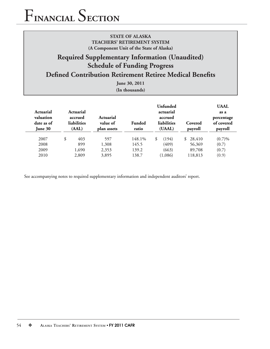## **Required Supplementary Information (Unaudited) Schedule of Funding Progress**

## **Defined Contribution Retirement Retiree Medical Benefits**

**June 30, 2011 (In thousands)**

| Actuarial<br>valuation<br>date as of<br>June 30 | Actuarial<br>accrued<br><b>liabilities</b><br>(AAL) | <b>Actuarial</b><br>value of<br>plan assets | <b>Funded</b><br>ratio | Unfunded<br>actuarial<br>accrued<br>liabilities<br>(UAAL) | Covered<br>payroll | <b>UAAL</b><br>as a<br>percentage<br>of covered<br>payroll |
|-------------------------------------------------|-----------------------------------------------------|---------------------------------------------|------------------------|-----------------------------------------------------------|--------------------|------------------------------------------------------------|
| 2007                                            | \$<br>403                                           | 597                                         | 148.1%                 | \$<br>(194)                                               | 28,410<br>\$       | (0.7)%                                                     |
| 2008<br>2009                                    | 899<br>1,690                                        | 1,308<br>2,353                              | 145.5<br>139.2         | (409)<br>(663)                                            | 56,369<br>89,708   | (0.7)<br>(0.7)                                             |
| 2010                                            | 2,809                                               | 3,895                                       | 138.7                  | (1,086)                                                   | 118,813            | (0.9)                                                      |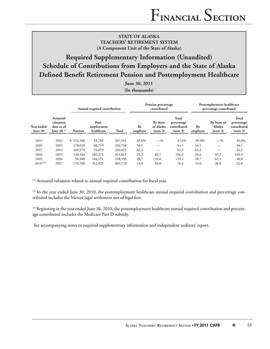## **Required Supplementary Information (Unaudited) Schedule of Contributions from Employers and the State of Alaska Defined Benefit Retirement Pension and Postemployment Healthcare**

**June 30, 2011**

|  | (In thousands) |
|--|----------------|
|--|----------------|

|                       |                                                                     | Annual required contribution |                                   |              |                | Pension percentage<br>contributed        |                                                       | Postemployment healthcare<br>percentage contributed |                                   |                                                       |
|-----------------------|---------------------------------------------------------------------|------------------------------|-----------------------------------|--------------|----------------|------------------------------------------|-------------------------------------------------------|-----------------------------------------------------|-----------------------------------|-------------------------------------------------------|
| Year ended<br>June 30 | <b>Actuarial</b><br>valuation<br>date as of<br><b>June 30</b> $(1)$ | Pension                      | Post-<br>employment<br>healthcare | <b>Total</b> | Bv<br>employer | <b>By State</b><br>of Alaska<br>(note 3) | <b>Total</b><br>percentage<br>contributed<br>(note 3) | Bv<br>employer                                      | By State of<br>Alaska<br>(note 3) | <b>Total</b><br>percentage<br>contributed<br>(note 3) |
| 2005                  | 2002                                                                | \$152,168                    | 55,783                            | 207,951      | 45.0%          | $-$ %                                    | 45.0%                                                 | 45.0%                                               | $-$ %                             | 45.0%                                                 |
| 2006                  | 2003                                                                | 170,019                      | 66,719                            | 236,738      | 54.1           |                                          | 54.1                                                  | 54.1                                                |                                   | 54.1                                                  |
| 2007                  | 2004                                                                | 169,974                      | 76,879                            | 246,853      | 62.2           |                                          | 62.2                                                  | 62.2                                                |                                   | 62.2                                                  |
| 2008                  | 2005                                                                | 134,544                      | 185,271                           | 319,815      | 23.3           | 82.7                                     | 106.0                                                 | 23.6                                                | 85.7                              | 109.3                                                 |
| 2009                  | 2006                                                                | 94,388                       | 164,171                           | 258,559      | 28.7           | 110.6                                    | 139.3                                                 | 28.7                                                | 62.1                              | 90.8                                                  |
| $2010^{(2)(3)}$       | 2007                                                                | 170,788                      | 312,922                           | 483,710      | 19.8           | 58.8                                     | 78.6                                                  | 13.6                                                | 38.8                              | 52.4                                                  |

 $(1)$  Actuarial valuation related to annual required contribution for fiscal year.

 $^{(2)}$  In the year ended June 30, 2010, the postemployment healthcare annual required contribution and percentage contributed includes the Mercer legal settlement net of legal fees.

 $^{(3)}$  Beginning in the year ended June 30, 2010, the postemployment healthcare annual required contribution and percentage contributed includes the Medicare Part D subsidy.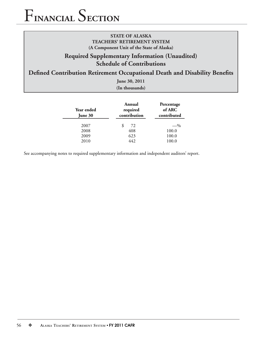## **STATE OF ALASKA TEACHERS' RETIREMENT SYSTEM (A Component Unit of the State of Alaska)**

## **Required Supplementary Information (Unaudited) Schedule of Contributions**

## **Defined Contribution Retirement Occupational Death and Disability Benefits**

**June 30, 2011**

**(In thousands)**

| <b>Year ended</b><br>June 30 | Annual<br>required<br>contribution | Percentage<br>of ARC<br>contributed |  |
|------------------------------|------------------------------------|-------------------------------------|--|
| 2007                         | \$<br>72                           | $-$ %                               |  |
| 2008                         | 408                                | 100.0                               |  |
| 2009                         | 623                                | 100.0                               |  |
| 2010                         | 442                                | 100.0                               |  |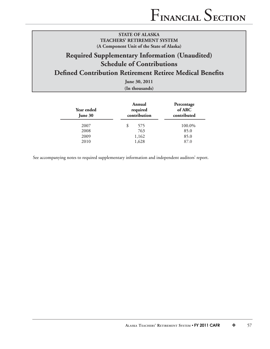## **Required Supplementary Information (Unaudited) Schedule of Contributions**

## **Defined Contribution Retirement Retiree Medical Benefits**

**June 30, 2011 (In thousands)**

| Year ended<br>June 30 | Annual<br>required<br>contribution | Percentage<br>of ARC<br>contributed |  |  |
|-----------------------|------------------------------------|-------------------------------------|--|--|
| 2007                  | 575<br>\$                          | 100.0%                              |  |  |
| 2008                  | 763                                | 85.0                                |  |  |
| 2009                  | 1,162                              | 85.0                                |  |  |
| 2010                  | 1,628                              | 87.0                                |  |  |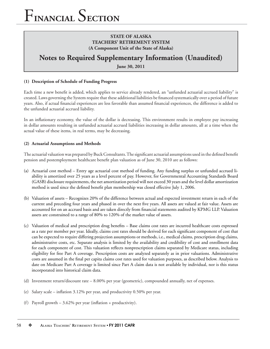## **Notes to Required Supplementary Information (Unaudited)**

**June 30, 2011**

### **(1) Description of Schedule of Funding Progress**

Each time a new benefit is added, which applies to service already rendered, an "unfunded actuarial accrued liability" is created. Laws governing the System require that these additional liabilities be financed systematically over a period of future years. Also, if actual financial experiences are less favorable than assumed financial experiences, the difference is added to the unfunded actuarial accrued liability.

In an inflationary economy, the value of the dollar is decreasing. This environment results in employee pay increasing in dollar amounts resulting in unfunded actuarial accrued liabilities increasing in dollar amounts, all at a time when the actual value of these items, in real terms, may be decreasing.

### **(2) Actuarial Assumptions and Methods**

The actuarial valuation was prepared by Buck Consultants. The significant actuarial assumptions used in the defined benefit pension and postemployment healthcare benefit plan valuation as of June 30, 2010 are as follows:

- (a) Actuarial cost method Entry age actuarial cost method of funding. Any funding surplus or unfunded accrued liability is amortized over 25 years as a level percent of pay. However, for Governmental Accounting Standards Board (GASB) disclosure requirements, the net amortization period will not exceed 30 years and the level dollar amortization method is used since the defined benefit plan membership was closed effective July 1, 2006.
- (b) Valuation of assets Recognizes 20% of the difference between actual and expected investment return in each of the current and preceding four years and phased in over the next five years. All assets are valued at fair value. Assets are accounted for on an accrued basis and are taken directly from financial statements audited by KPMG LLP. Valuation assets are constrained to a range of 80% to 120% of the market value of assets.
- (c) Valuation of medical and prescription drug benefits Base claims cost rates are incurred healthcare costs expressed as a rate per member per year. Ideally, claims cost rates should be derived for each significant component of cost that can be expected to require differing projection assumptions or methods, i.e., medical claims, prescription drug claims, administrative costs, etc. Separate analysis is limited by the availability and credibility of cost and enrollment data for each component of cost. This valuation reflects nonprescription claims separated by Medicare status, including eligibility for free Part A coverage. Prescription costs are analyzed separately as in prior valuations. Administrative costs are assumed in the final per capita claims cost rates used for valuation purposes, as described below. Analysis to date on Medicare Part A coverage is limited since Part A claim data is not available by individual, nor is this status incorporated into historical claim data.
- (d) Investment return/discount rate 8.00% per year (geometric), compounded annually, net of expenses.
- (e) Salary scale inflation  $3.12\%$  per year, and productivity 0.50% per year.
- (f) Payroll growth  $-3.62\%$  per year (inflation + productivity).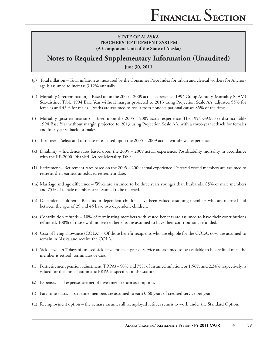## **Notes to Required Supplementary Information (Unaudited)**

**June 30, 2011**

- (g) Total inflation Total inflation as measured by the Consumer Price Index for urban and clerical workers for Anchorage is assumed to increase 3.12% annually.
- (h) Mortality (pretermination) Based upon the 2005 2009 actual experience. 1994 Group Annuity Mortality (GAM) Sex-distinct Table 1994 Base Year without margin projected to 2013 using Projection Scale AA, adjusted 55% for females and 45% for males. Deaths are assumed to result from nonoccupational causes 85% of the time.
- (i) Mortality (posttermination) Based upon the 2005 2009 actual experience. The 1994 GAM Sex-distinct Table 1994 Base Year without margin projected to 2013 using Projection Scale AA, with a three-year setback for females and four-year setback for males.
- (j) Turnover Select and ultimate rates based upon the 2005 2009 actual withdrawal experience.
- (k) Disability Incidence rates based upon the 2005 2009 actual experience. Postdisability mortality in accordance with the RP-2000 Disabled Retiree Mortality Table.
- (1) Retirement Retirement rates based on the 2005 2009 actual experience. Deferred vested members are assumed to retire at their earliest unreduced retirement date.
- (m) Marriage and age difference Wives are assumed to be three years younger than husbands. 85% of male members and 75% of female members are assumed to be married.
- (n) Dependent children Benefits to dependent children have been valued assuming members who are married and between the ages of 25 and 45 have two dependent children.
- (o) Contribution refunds  $-10\%$  of terminating members with vested benefits are assumed to have their contributions refunded. 100% of those with nonvested benefits are assumed to have their contributions refunded.
- (p) Cost of living allowance (COLA) Of those benefi t recipients who are eligible for the COLA, 60% are assumed to remain in Alaska and receive the COLA.
- (q) Sick leave 4.7 days of unused sick leave for each year of service are assumed to be available to be credited once the member is retired, terminates or dies.
- (r) Postretirement pension adjustment (PRPA) 50% and 75% of assumed inflation, or 1.56% and 2.34% respectively, is valued for the annual automatic PRPA as specified in the statute.
- (s) Expenses all expenses are net of investment return assumption.
- (t) Part-time status part-time members are assumed to earn 0.60 years of credited service per year.
- (u) Reemployment option the actuary assumes all reemployed retirees return to work under the Standard Option.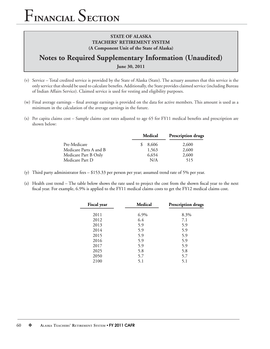## **Notes to Required Supplementary Information (Unaudited)**

**June 30, 2011**

- (v) Service Total credited service is provided by the State of Alaska (State). The actuary assumes that this service is the only service that should be used to calculate benefits. Additionally, the State provides claimed service (including Bureau of Indian Affairs Service). Claimed service is used for vesting and eligibility purposes.
- (w) Final average earnings final average earnings is provided on the data for active members. This amount is used as a minimum in the calculation of the average earnings in the future.
- $(x)$  Per capita claims cost Sample claims cost rates adjusted to age 65 for FY11 medical benefits and prescription are shown below:

| Medical | <b>Prescription drugs</b> |  |  |
|---------|---------------------------|--|--|
| 8,606   | 2,600                     |  |  |
| 1,563   | 2,600                     |  |  |
| 6,654   | 2,600                     |  |  |
| N/A     | 515                       |  |  |
|         |                           |  |  |

- (y) Third party administrator fees \$153.33 per person per year; assumed trend rate of 5% per year.
- $(z)$  Health cost trend The table below shows the rate used to project the cost from the shown fiscal year to the next fiscal year. For example, 6.9% is applied to the FY11 medical claims costs to get the FY12 medical claims cost.

| <b>Fiscal</b> year | Medical | Prescription drugs |  |  |
|--------------------|---------|--------------------|--|--|
| 2011               | 6.9%    | 8.3%               |  |  |
| 2012               | 6.4     | 7.1                |  |  |
| 2013               | 5.9     | 5.9                |  |  |
| 2014               | 5.9     | 5.9                |  |  |
| 2015               | 5.9     | 5.9                |  |  |
| 2016               | 5.9     | 5.9                |  |  |
| 2017               | 5.9     | 5.9                |  |  |
| 2025               | 5.8     | 5.8                |  |  |
| 2050               | 5.7     | 5.7                |  |  |
| 2100               | 5.1     | 5.1                |  |  |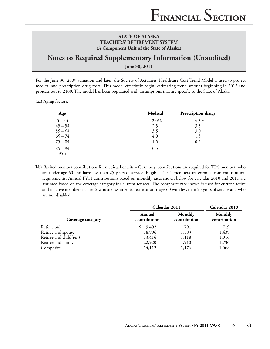## **Notes to Required Supplementary Information (Unaudited)**

**June 30, 2011**

For the June 30, 2009 valuation and later, the Society of Actuaries' Healthcare Cost Trend Model is used to project medical and prescription drug costs. This model effectively begins estimating trend amount beginning in 2012 and projects out to 2100. The model has been populated with assumptions that are specific to the State of Alaska.

(aa) Aging factors:

| Age       | Medical | Prescription drugs |
|-----------|---------|--------------------|
| $0 - 44$  | 2.0%    | 4.5%               |
| $45 - 54$ | 2.5     | 3.5                |
| $55 - 64$ | 3.5     | 3.0                |
| $65 - 74$ | 4.0     | 1.5                |
| $75 - 84$ | 1.5     | 0.5                |
| $85 - 94$ | 0.5     |                    |
| $95 +$    |         |                    |

(bb) Retired member contributions for medical benefits – Currently, contributions are required for TRS members who are under age 60 and have less than 25 years of service. Eligible Tier 1 members are exempt from contribution requirements. Annual FY11 contributions based on monthly rates shown below for calendar 2010 and 2011 are assumed based on the coverage category for current retirees. The composite rate shown is used for current active and inactive members in Tier 2 who are assumed to retire prior to age 60 with less than 25 years of service and who are not disabled:

|                        |                        | Calendar 2011           |                         |  |
|------------------------|------------------------|-------------------------|-------------------------|--|
| Coverage category      | Annual<br>contribution | Monthly<br>contribution | Monthly<br>contribution |  |
| Retiree only           | 9,492                  | 791                     | 719                     |  |
| Retiree and spouse     | 18,996                 | 1,583                   | 1,439                   |  |
| Retiree and child(ren) | 13,416                 | 1,118                   | 1,016                   |  |
| Retiree and family     | 22,920                 | 1,910                   | 1,736                   |  |
| Composite              | 14,112                 | 1,176                   | 1,068                   |  |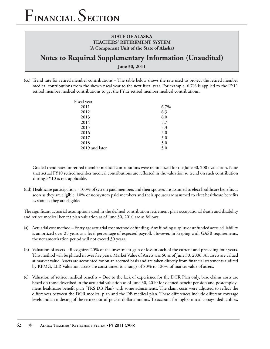## **Notes to Required Supplementary Information (Unaudited)**

**June 30, 2011**

(cc) Trend rate for retired member contributions – The table below shows the rate used to project the retired member medical contributions from the shown fiscal year to the next fiscal year. For example, 6.7% is applied to the FY11 retired member medical contributions to get the FY12 retired member medical contributions.

| Fiscal year:   |      |
|----------------|------|
| 2011           | 6.7% |
| 2012           | 6.3  |
| 2013           | 6.0  |
| 2014           | 5.7  |
| 2015           | 5.3  |
| 2016           | 5.0  |
| 2017           | 5.0  |
| 2018           | 5.0  |
| 2019 and later | 5.0  |
|                |      |

Graded trend rates for retired member medical contributions were reinitialized for the June 30, 2005 valuation. Note that actual FY10 retired member medical contributions are reflected in the valuation so trend on such contribution during FY10 is not applicable.

(dd) Healthcare participation – 100% of system paid members and their spouses are assumed to elect healthcare benefits as soon as they are eligible. 10% of nonsystem paid members and their spouses are assumed to elect healthcare benefits as soon as they are eligible.

The significant actuarial assumptions used in the defined contribution retirement plan occupational death and disability and retiree medical benefit plan valuation as of June 30, 2010 are as follows:

- (a) Actuarial cost method Entry age actuarial cost method of funding. Any funding surplus or unfunded accrued liability is amortized over 25 years as a level percentage of expected payroll. However, in keeping with GASB requirements, the net amortization period will not exceed 30 years.
- (b) Valuation of assets Recognizes 20% of the investment gain or loss in each of the current and preceding four years. This method will be phased in over five years. Market Value of Assets was \$0 as of June 30, 2006. All assets are valued at market value. Assets are accounted for on an accrued basis and are taken directly from financial statements audited by KPMG, LLP. Valuation assets are constrained to a range of 80% to 120% of market value of assets.
- (c) Valuation of retiree medical benefits Due to the lack of experience for the DCR Plan only, base claims costs are based on those described in the actuarial valuation as of June 30, 2010 for defined benefit pension and postemployment healthcare benefit plan (TRS DB Plan) with some adjustments. The claim costs were adjusted to reflect the differences between the DCR medical plan and the DB medical plan. These differences include different coverage levels and an indexing of the retiree out-of-pocket dollar amounts. To account for higher initial copays, deductibles,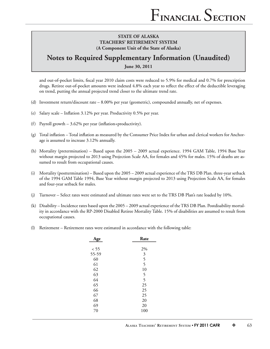## **Notes to Required Supplementary Information (Unaudited)**

**June 30, 2011**

and out-of-pocket limits, fiscal year 2010 claim costs were reduced to 5.9% for medical and 0.7% for prescription drugs. Retiree out-of-pocket amounts were indexed 4.8% each year to reflect the effect of the deductible leveraging on trend, putting the annual projected trend closer to the ultimate trend rate.

- (d) Investment return/discount rate 8.00% per year (geometric), compounded annually, net of expenses.
- (e) Salary scale Inflation  $3.12\%$  per year. Productivity 0.5% per year.
- (f) Payroll growth  $-3.62\%$  per year (inflation+productivity).
- $(g)$  Total inflation Total inflation as measured by the Consumer Price Index for urban and clerical workers for Anchorage is assumed to increase 3.12% annually.
- (h) Mortality (pretermination) Based upon the 2005 2009 actual experience. 1994 GAM Table, 1994 Base Year without margin projected to 2013 using Projection Scale AA, for females and 45% for males. 15% of deaths are assumed to result from occupational causes.
- (i) Mortality (posttermination) Based upon the 2005 2009 actual experience of the TRS DB Plan. three-year setback of the 1994 GAM Table 1994, Base Year without margin projected to 2013 using Projection Scale AA, for females and four-year setback for males.
- (j) Turnover Select rates were estimated and ultimate rates were set to the TRS DB Plan's rate loaded by 10%.
- (k) Disability Incidence rates based upon the 2005 2009 actual experience of the TRS DB Plan. Postdisability mortality in accordance with the RP-2000 Disabled Retiree Mortality Table. 15% of disabilities are assumed to result from occupational causes.
- (l) Retirement Retirement rates were estimated in accordance with the following table:

| Age   | Rate           |
|-------|----------------|
|       |                |
| < 55  | 2%             |
| 55-59 | $\mathfrak{Z}$ |
| 60    | 5              |
| 61    | 5              |
| 62    | 10             |
| 63    | 5              |
| 64    | 5              |
| 65    | 25             |
| 66    | 25             |
| 67    | 25             |
| 68    | 20             |
| 69    | 20             |
| 70    | 100            |
|       |                |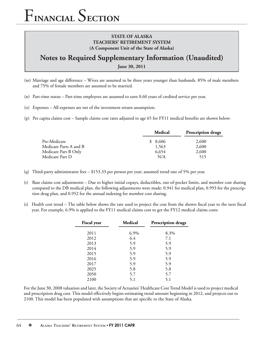## **Notes to Required Supplementary Information (Unaudited)**

**June 30, 2011**

- (m) Marriage and age difference Wives are assumed to be three years younger than husbands. 85% of male members and 75% of female members are assumed to be married.
- (n) Part-time status Part-time employees are assumed to earn 0.60 years of credited service per year.
- (o) Expenses All expenses are net of the investment return assumption.
- (p) Per capita claims cost Sample claims cost rates adjusted to age  $65$  for FY11 medical benefits are shown below:

| Medical | <b>Prescription drugs</b> |
|---------|---------------------------|
| \$8,606 | 2,600                     |
| 1,563   | 2,600                     |
| 6,654   | 2,600                     |
| N/A     | 515                       |
|         |                           |

- (q) Third-party administrator fees \$153.33 per person per year; assumed trend rate of 5% per year.
- (r) Base claims cost adjustments Due to higher initial copays, deductibles, out-of-pocket limits, and member cost sharing compared to the DB medical plan, the following adjustments were made: 0.941 for medical plan, 0.993 for the prescription drug plan, and 0.952 for the annual indexing for member cost sharing.
- (s) Health cost trend The table below shows the rate used to project the cost from the shown fiscal year to the next fiscal year. For example, 6.9% is applied to the FY11 medical claims cost to get the FY12 medical claims costs:

| <b>Fiscal</b> year | <b>Medical</b> | <b>Prescription drugs</b> |
|--------------------|----------------|---------------------------|
| 2011               | 6.9%           | 8.3%                      |
| 2012               | 6.4            | 7.1                       |
| 2013               | 5.9            | 5.9                       |
| 2014               | 5.9            | 5.9                       |
| 2015               | 5.9            | 5.9                       |
| 2016               | 5.9            | 5.9                       |
| 2017               | 5.9            | 5.9                       |
| 2025               | 5.8            | 5.8                       |
| 2050               | 5.7            | 5.7                       |
| 2100               | 5.1            | 5.1                       |

For the June 30, 2008 valuation and later, the Society of Actuaries' Healthcare Cost Trend Model is used to project medical and prescription drug cost. This model effectively begins estimating trend amount beginning in 2012, and projects out to 2100. This model has been populated with assumptions that are specific to the State of Alaska.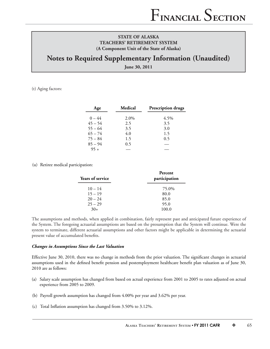## **Notes to Required Supplementary Information (Unaudited)**

**June 30, 2011**

(t) Aging factors:

| Age       | Medical | <b>Prescription drugs</b> |
|-----------|---------|---------------------------|
| $0 - 44$  | 2.0%    | $4.5\%$                   |
| $45 - 54$ | 2.5     | 3.5                       |
| $55 - 64$ | 3.5     | 3.0                       |
| $65 - 74$ | 4.0     | 1.5                       |
| $75 - 84$ | 1.5     | 0.5                       |
| $85 - 94$ | 0.5     |                           |
| $95 +$    |         |                           |

#### (u) Retiree medical participation:

| <b>Years of service</b> | Percent<br>participation |
|-------------------------|--------------------------|
| $10 - 14$               | 75.0%                    |
| $15 - 19$               | 80.0                     |
| $20 - 24$               | 85.0                     |
| $25 - 29$               | 95.0                     |
| $30+$                   | 100.0                    |

The assumptions and methods, when applied in combination, fairly represent past and anticipated future experience of the System. The foregoing actuarial assumptions are based on the presumption that the System will continue. Were the system to terminate, different actuarial assumptions and other factors might be applicable in determining the actuarial present value of accumulated benefits.

#### *Changes in Assumptions Since the Last Valuation*

Effective June 30, 2010, there was no change in methods from the prior valuation. The significant changes in actuarial assumptions used in the defined benefit pension and postemployment healthcare benefit plan valuation as of June 30, 2010 are as follows:

- (a) Salary scale assumption has changed from based on actual experience from 2001 to 2005 to rates adjusted on actual experience from 2005 to 2009.
- (b) Payroll growth assumption has changed from 4.00% per year and 3.62% per year.
- (c) Total Inflation assumption has changed from  $3.50\%$  to  $3.12\%$ .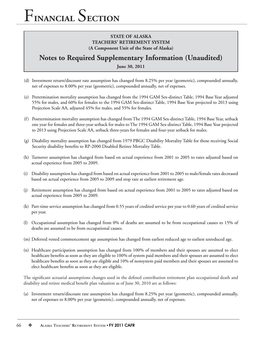## **STATE OF ALASKA TEACHERS' RETIREMENT SYSTEM (A Component Unit of the State of Alaska)**

## **Notes to Required Supplementary Information (Unaudited)**

**June 30, 2011**

- (d) Investment return/discount rate assumption has changed from 8.25% per year (geometric), compounded annually, net of expenses to 8.00% per year (geometric), compounded annually, net of expenses.
- (e) Pretermination mortality assumption has changed from the 1994 GAM Sex-distinct Table, 1994 Base Year adjusted 55% for males, and 60% for females to the 1994 GAM Sex-distinct Table, 1994 Base Year projected to 2013 using Projection Scale AA, adjusted 45% for males, and 55% for females.
- (f) Posttermination mortality assumption has changed from The 1994 GAM Sex-distinct Table, 1994 Base Year, setback one year for females and three-year setback for males to The 1994 GAM Sex-distinct Table, 1994 Base Year projected to 2013 using Projection Scale AA, setback three-years for females and four-year setback for males.
- (g) Disability mortality assumption has changed from 1979 PBGC Disability Mortality Table for those receiving Social Security disability benefits to RP-2000 Disabled Retiree Mortality Table.
- (h) Turnover assumption has changed from based on actual experience from 2001 to 2005 to rates adjusted based on actual experience from 2005 to 2009.
- (i) Disability assumption has changed from based on actual experience from 2001 to 2005 to male/female rates decreased based on actual experience from 2005 to 2009 and stop rate at earliest retirement age.
- (j) Retirement assumption has changed from based on actual experience from 2001 to 2005 to rates adjusted based on actual experience from 2005 to 2009.
- (k) Part-time service assumption has changed from 0.55 years of credited service per year to 0.60 years of credited service per year.
- (l) Occupational assumption has changed from 0% of deaths are assumed to be from occupational causes to 15% of deaths are assumed to be from occupational causes.
- (m) Deferred vested commencement age assumption has changed from earliest reduced age to earliest unreduced age.
- (n) Healthcare participation assumption has changed from 100% of members and their spouses are assumed to elect healthcare benefits as soon as they are eligible to 100% of system paid members and their spouses are assumed to elect healthcare benefits as soon as they are eligible and 10% of nonsystem paid members and their spouses are assumed to elect healthcare benefits as soon as they are eligible.

The significant actuarial assumptions changes used in the defined contribution retirement plan occupational death and disability and retiree medical benefit plan valuation as of June 30, 2010 are as follows:

(a) Investment return/discount rate assumption has changed from 8.25% per year (geometric), compounded annually, net of expenses to 8.00% per year (geometric), compounded annually, net of expenses.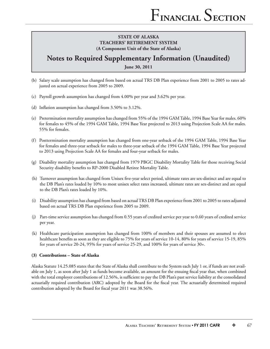## **Notes to Required Supplementary Information (Unaudited)**

**June 30, 2011**

- (b) Salary scale assumption has changed from based on actual TRS DB Plan experience from 2001 to 2005 to rates adjusted on actual experience from 2005 to 2009.
- (c) Payroll growth assumption has changed from 4.00% per year and 3.62% per year.
- (d) Inflation assumption has changed from  $3.50\%$  to  $3.12\%$ .
- (e) Pretermination mortality assumption has changed from 55% of the 1994 GAM Table, 1994 Base Year for males. 60% for females to 45% of the 1994 GAM Table, 1994 Base Year projected to 2013 using Projection Scale AA for males. 55% for females.
- (f) Posttermination mortality assumption has changed from one-year setback of the 1994 GAM Table, 1994 Base Year for females and three-year setback for males to three-year setback of the 1994 GAM Table, 1994 Base Year projected to 2013 using Projection Scale AA for females and four-year setback for males.
- (g) Disability mortality assumption has changed from 1979 PBGC Disability Mortality Table for those receiving Social Security disability benefits to RP-2000 Disabled Retiree Mortality Table.
- (h) Turnover assumption has changed from Unisex five-year select period, ultimate rates are sex-distinct and are equal to the DB Plan's rates loaded by 10% to most unisex select rates increased, ultimate rates are sex-distinct and are equal to the DB Plan's rates loaded by 10%.
- (i) Disability assumption has changed from based on actual TRS DB Plan experience from 2001 to 2005 to rates adjusted based on actual TRS DB Plan experience from 2005 to 2009.
- (j) Part-time service assumption has changed from 0.55 years of credited service per year to 0.60 years of credited service per year.
- (k) Healthcare participation assumption has changed from 100% of members and their spouses are assumed to elect healthcare benefits as soon as they are eligible to 75% for years of service 10-14, 80% for years of service 15-19, 85% for years of service 20-24, 95% for years of service 25-29, and 100% for years of service 30+.

### **(3) Contributions – State of Alaska**

Alaska Statute 14.25.085 states that the State of Alaska shall contribute to the System each July 1 or, if funds are not available on July 1, as soon after July 1 as funds become available, an amount for the ensuing fiscal year that, when combined with the total employer contributions of 12.56%, is sufficient to pay the DB Plan's past service liability at the consolidated actuarially required contribution (ARC) adopted by the Board for the fiscal year. The actuarially determined required contribution adopted by the Board for fiscal year 2011 was 38.56%.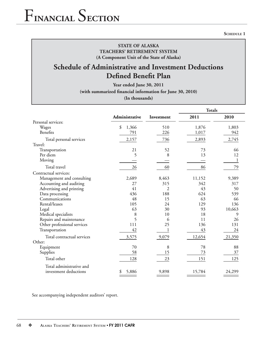## **Schedule of Administrative and Investment Deductions Defined Benefit Plan**

**Year ended June 30, 2011**

(with summarized financial information for June 30, 2010)

**(In thousands)**

|                             |                |                | <b>Totals</b> |        |
|-----------------------------|----------------|----------------|---------------|--------|
|                             | Administrative | Investment     | 2011          | 2010   |
| Personal services:          |                |                |               |        |
| Wages                       | \$<br>1,366    | 510            | 1,876         | 1,803  |
| Benefits                    | 791            | 226            | 1,017         | 942    |
| Total personal services     | 2,157          | 736            | 2,893         | 2,745  |
| Travel:                     |                |                |               |        |
| Transportation              | 21             | 52             | 73            | 66     |
| Per diem                    | 5              | 8              | 13            | 12     |
| Moving                      |                |                |               |        |
| Total travel                | 26             | 60             | 86            | 79     |
| Contractual services:       |                |                |               |        |
| Management and consulting   | 2,689          | 8,463          | 11,152        | 9,389  |
| Accounting and auditing     | 27             | 315            | 342           | 317    |
| Advertising and printing    | 41             | $\overline{2}$ | 43            | 50     |
| Data processing             | 436            | 188            | 624           | 539    |
| Communications              | 48             | 15             | 63            | 66     |
| Rental/leases               | 105            | 24             | 129           | 136    |
| Legal                       | 63             | 30             | 93            | 10,663 |
| Medical specialists         | 8              | 10             | 18            | 9      |
| Repairs and maintenance     | 5              | 6              | 11            | 26     |
| Other professional services | 111            | 25             | 136           | 131    |
| Transportation              | 42             |                | 43            | 24     |
| Total contractual services  | 3,575          | 9,079          | 12,654        | 21,350 |
| Other:                      |                |                |               |        |
| Equipment                   | 70             | 8              | 78            | 88     |
| Supplies                    | 58             | 15             | 73            | 37     |
| Total other                 | 128            | 23             | 151           | 125    |
| Total administrative and    |                |                |               |        |
| investment deductions       | 5,886<br>\$    | 9,898          | 15,784        | 24,299 |

See accompanying independent auditors' report.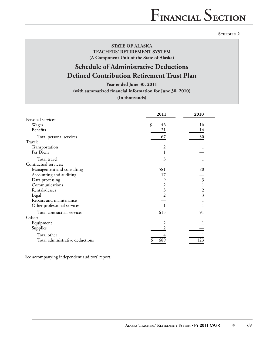#### **SCHEDULE 2**

## **STATE OF ALASKA TEACHERS' RETIREMENT SYSTEM (A Component Unit of the State of Alaska)**

## **Schedule of Administrative Deductions Defined Contribution Retirement Trust Plan**

**Year ended June 30, 2011** (with summarized financial information for June 30, 2010)

**(In thousands)**

|                                 | 2011     | 2010           |
|---------------------------------|----------|----------------|
| Personal services:              |          |                |
| Wages                           | \$<br>46 | 16             |
| Benefits                        | 21       | 14             |
| Total personal services         | 67       | 30             |
| Travel:                         |          |                |
| Transportation                  | 2        |                |
| Per Diem                        |          |                |
| Total travel                    | 3        |                |
| Contractual services:           |          |                |
| Management and consulting       | 581      | 80             |
| Accounting and auditing         | 17       |                |
| Data processing                 | 9        | $\mathfrak{Z}$ |
| Communications                  | 2        |                |
| Rentals/leases                  | 3        | 2              |
| Legal                           | 2        | 3              |
| Repairs and maintenance         |          |                |
| Other professional services     |          |                |
| Total contractual services      | 615      | 91             |
| Other:                          |          |                |
| Equipment                       | 2        |                |
| Supplies                        |          |                |
| Total other                     | 4        |                |
| Total administrative deductions | 689      | 123            |

See accompanying independent auditors' report.